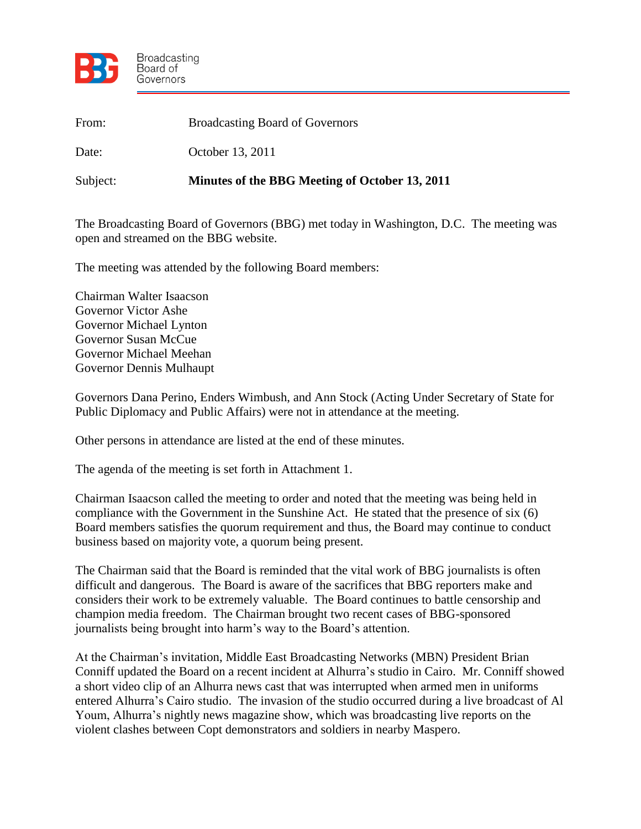

| From:    | <b>Broadcasting Board of Governors</b>         |
|----------|------------------------------------------------|
| Date:    | October 13, 2011                               |
| Subject: | Minutes of the BBG Meeting of October 13, 2011 |

The Broadcasting Board of Governors (BBG) met today in Washington, D.C. The meeting was open and streamed on the BBG website.

The meeting was attended by the following Board members:

Chairman Walter Isaacson Governor Victor Ashe Governor Michael Lynton Governor Susan McCue Governor Michael Meehan Governor Dennis Mulhaupt

Governors Dana Perino, Enders Wimbush, and Ann Stock (Acting Under Secretary of State for Public Diplomacy and Public Affairs) were not in attendance at the meeting.

Other persons in attendance are listed at the end of these minutes.

The agenda of the meeting is set forth in Attachment 1.

Chairman Isaacson called the meeting to order and noted that the meeting was being held in compliance with the Government in the Sunshine Act. He stated that the presence of six (6) Board members satisfies the quorum requirement and thus, the Board may continue to conduct business based on majority vote, a quorum being present.

The Chairman said that the Board is reminded that the vital work of BBG journalists is often difficult and dangerous. The Board is aware of the sacrifices that BBG reporters make and considers their work to be extremely valuable. The Board continues to battle censorship and champion media freedom. The Chairman brought two recent cases of BBG-sponsored journalists being brought into harm's way to the Board's attention.

At the Chairman's invitation, Middle East Broadcasting Networks (MBN) President Brian Conniff updated the Board on a recent incident at Alhurra's studio in Cairo. Mr. Conniff showed a short video clip of an Alhurra news cast that was interrupted when armed men in uniforms entered Alhurra's Cairo studio. The invasion of the studio occurred during a live broadcast of Al Youm, Alhurra's nightly news magazine show, which was broadcasting live reports on the violent clashes between Copt demonstrators and soldiers in nearby Maspero.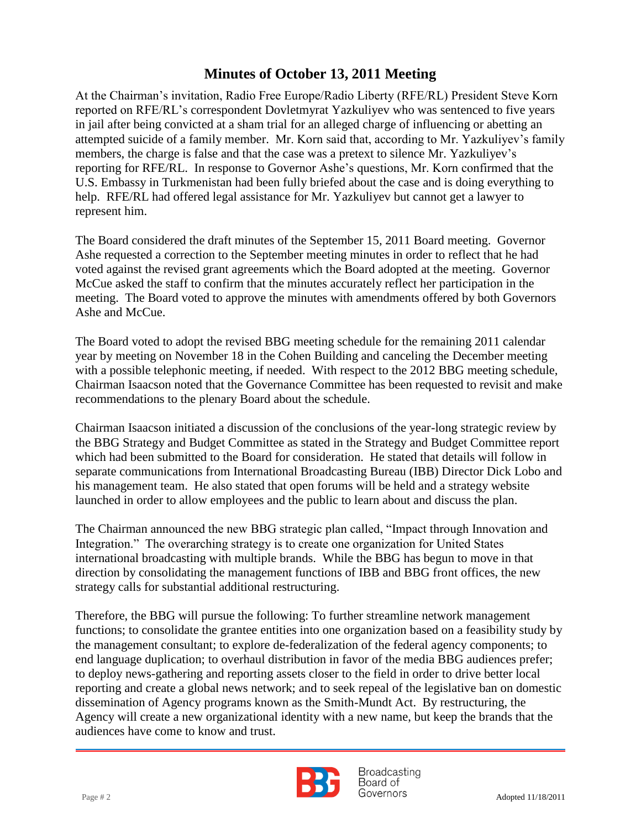members, the charge is false and that the case was a pretext to silence Mr. Yazkuliyev's At the Chairman's invitation, Radio Free Europe/Radio Liberty (RFE/RL) President Steve Korn reported on RFE/RL's correspondent Dovletmyrat Yazkuliyev who was sentenced to five years in jail after being convicted at a sham trial for an alleged charge of influencing or abetting an attempted suicide of a family member. Mr. Korn said that, according to Mr. Yazkuliyev's family reporting for RFE/RL. In response to Governor Ashe's questions, Mr. Korn confirmed that the U.S. Embassy in Turkmenistan had been fully briefed about the case and is doing everything to help. RFE/RL had offered legal assistance for Mr. Yazkuliyev but cannot get a lawyer to represent him.

The Board considered the draft minutes of the September 15, 2011 Board meeting. Governor Ashe requested a correction to the September meeting minutes in order to reflect that he had voted against the revised grant agreements which the Board adopted at the meeting. Governor McCue asked the staff to confirm that the minutes accurately reflect her participation in the meeting. The Board voted to approve the minutes with amendments offered by both Governors Ashe and McCue.

The Board voted to adopt the revised BBG meeting schedule for the remaining 2011 calendar year by meeting on November 18 in the Cohen Building and canceling the December meeting with a possible telephonic meeting, if needed. With respect to the 2012 BBG meeting schedule, Chairman Isaacson noted that the Governance Committee has been requested to revisit and make recommendations to the plenary Board about the schedule.

Chairman Isaacson initiated a discussion of the conclusions of the year-long strategic review by the BBG Strategy and Budget Committee as stated in the Strategy and Budget Committee report which had been submitted to the Board for consideration. He stated that details will follow in separate communications from International Broadcasting Bureau (IBB) Director Dick Lobo and his management team. He also stated that open forums will be held and a strategy website launched in order to allow employees and the public to learn about and discuss the plan.

The Chairman announced the new BBG strategic plan called, "Impact through Innovation and Integration." The overarching strategy is to create one organization for United States international broadcasting with multiple brands. While the BBG has begun to move in that direction by consolidating the management functions of IBB and BBG front offices, the new strategy calls for substantial additional restructuring.

Therefore, the BBG will pursue the following: To further streamline network management functions; to consolidate the grantee entities into one organization based on a feasibility study by the management consultant; to explore de-federalization of the federal agency components; to end language duplication; to overhaul distribution in favor of the media BBG audiences prefer; to deploy news-gathering and reporting assets closer to the field in order to drive better local reporting and create a global news network; and to seek repeal of the legislative ban on domestic dissemination of Agency programs known as the Smith-Mundt Act. By restructuring, the Agency will create a new organizational identity with a new name, but keep the brands that the audiences have come to know and trust.



**Broadcasting** Board of  $Page # 2$  Adopted 11/18/2011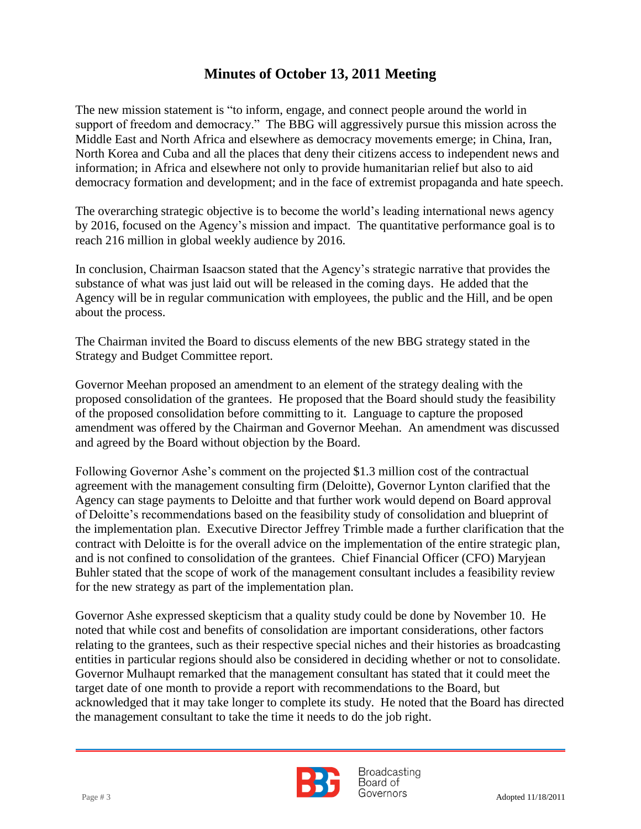North Korea and Cuba and all the places that deny their citizens access to independent news and The new mission statement is "to inform, engage, and connect people around the world in support of freedom and democracy." The BBG will aggressively pursue this mission across the Middle East and North Africa and elsewhere as democracy movements emerge; in China, Iran, information; in Africa and elsewhere not only to provide humanitarian relief but also to aid democracy formation and development; and in the face of extremist propaganda and hate speech.

The overarching strategic objective is to become the world's leading international news agency by 2016, focused on the Agency's mission and impact. The quantitative performance goal is to reach 216 million in global weekly audience by 2016.

In conclusion, Chairman Isaacson stated that the Agency's strategic narrative that provides the substance of what was just laid out will be released in the coming days. He added that the Agency will be in regular communication with employees, the public and the Hill, and be open about the process.

The Chairman invited the Board to discuss elements of the new BBG strategy stated in the Strategy and Budget Committee report.

Governor Meehan proposed an amendment to an element of the strategy dealing with the proposed consolidation of the grantees. He proposed that the Board should study the feasibility of the proposed consolidation before committing to it. Language to capture the proposed amendment was offered by the Chairman and Governor Meehan. An amendment was discussed and agreed by the Board without objection by the Board.

Following Governor Ashe's comment on the projected \$1.3 million cost of the contractual agreement with the management consulting firm (Deloitte), Governor Lynton clarified that the Agency can stage payments to Deloitte and that further work would depend on Board approval of Deloitte's recommendations based on the feasibility study of consolidation and blueprint of the implementation plan. Executive Director Jeffrey Trimble made a further clarification that the contract with Deloitte is for the overall advice on the implementation of the entire strategic plan, and is not confined to consolidation of the grantees. Chief Financial Officer (CFO) Maryjean Buhler stated that the scope of work of the management consultant includes a feasibility review for the new strategy as part of the implementation plan.

Governor Ashe expressed skepticism that a quality study could be done by November 10. He noted that while cost and benefits of consolidation are important considerations, other factors relating to the grantees, such as their respective special niches and their histories as broadcasting entities in particular regions should also be considered in deciding whether or not to consolidate. Governor Mulhaupt remarked that the management consultant has stated that it could meet the target date of one month to provide a report with recommendations to the Board, but acknowledged that it may take longer to complete its study. He noted that the Board has directed the management consultant to take the time it needs to do the job right.



**Broadcasting** Board of Page # 3 Adopted 11/18/2011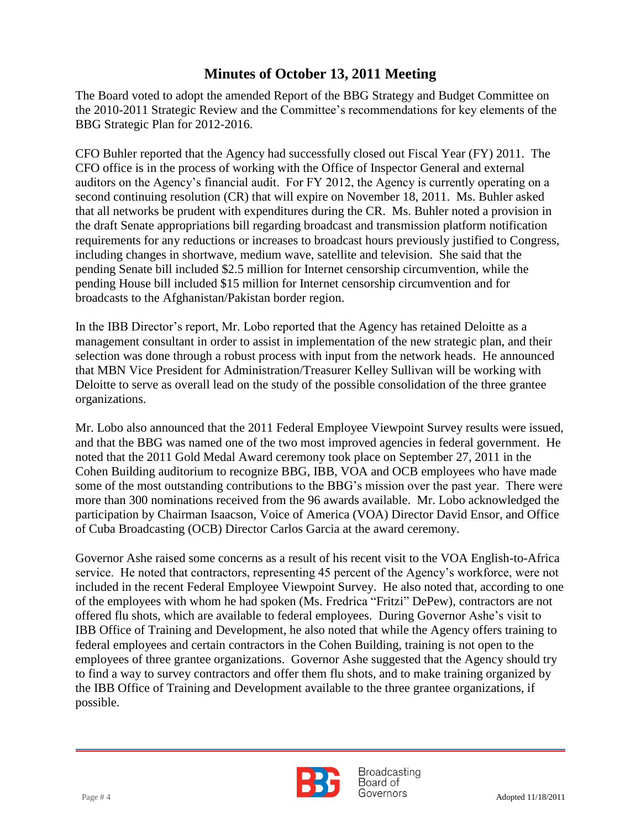The Board voted to adopt the amended Report of the BBG Strategy and Budget Committee on the 2010-2011 Strategic Review and the Committee's recommendations for key elements of the BBG Strategic Plan for 2012-2016.

 CFO Buhler reported that the Agency had successfully closed out Fiscal Year (FY) 2011. The CFO office is in the process of working with the Office of Inspector General and external auditors on the Agency's financial audit. For FY 2012, the Agency is currently operating on a second continuing resolution (CR) that will expire on November 18, 2011. Ms. Buhler asked that all networks be prudent with expenditures during the CR. Ms. Buhler noted a provision in the draft Senate appropriations bill regarding broadcast and transmission platform notification requirements for any reductions or increases to broadcast hours previously justified to Congress, including changes in shortwave, medium wave, satellite and television. She said that the pending Senate bill included \$2.5 million for Internet censorship circumvention, while the pending House bill included \$15 million for Internet censorship circumvention and for broadcasts to the Afghanistan/Pakistan border region.

In the IBB Director's report, Mr. Lobo reported that the Agency has retained Deloitte as a management consultant in order to assist in implementation of the new strategic plan, and their selection was done through a robust process with input from the network heads. He announced that MBN Vice President for Administration/Treasurer Kelley Sullivan will be working with Deloitte to serve as overall lead on the study of the possible consolidation of the three grantee organizations.

Mr. Lobo also announced that the 2011 Federal Employee Viewpoint Survey results were issued, and that the BBG was named one of the two most improved agencies in federal government. He noted that the 2011 Gold Medal Award ceremony took place on September 27, 2011 in the Cohen Building auditorium to recognize BBG, IBB, VOA and OCB employees who have made some of the most outstanding contributions to the BBG's mission over the past year. There were more than 300 nominations received from the 96 awards available. Mr. Lobo acknowledged the participation by Chairman Isaacson, Voice of America (VOA) Director David Ensor, and Office of Cuba Broadcasting (OCB) Director Carlos Garcia at the award ceremony.

Governor Ashe raised some concerns as a result of his recent visit to the VOA English-to-Africa service. He noted that contractors, representing 45 percent of the Agency's workforce, were not included in the recent Federal Employee Viewpoint Survey. He also noted that, according to one of the employees with whom he had spoken (Ms. Fredrica "Fritzi" DePew), contractors are not offered flu shots, which are available to federal employees. During Governor Ashe's visit to IBB Office of Training and Development, he also noted that while the Agency offers training to federal employees and certain contractors in the Cohen Building, training is not open to the employees of three grantee organizations. Governor Ashe suggested that the Agency should try to find a way to survey contractors and offer them flu shots, and to make training organized by the IBB Office of Training and Development available to the three grantee organizations, if possible.



**Broadcasting** Board of  $Page #4$  Adopted 11/18/2011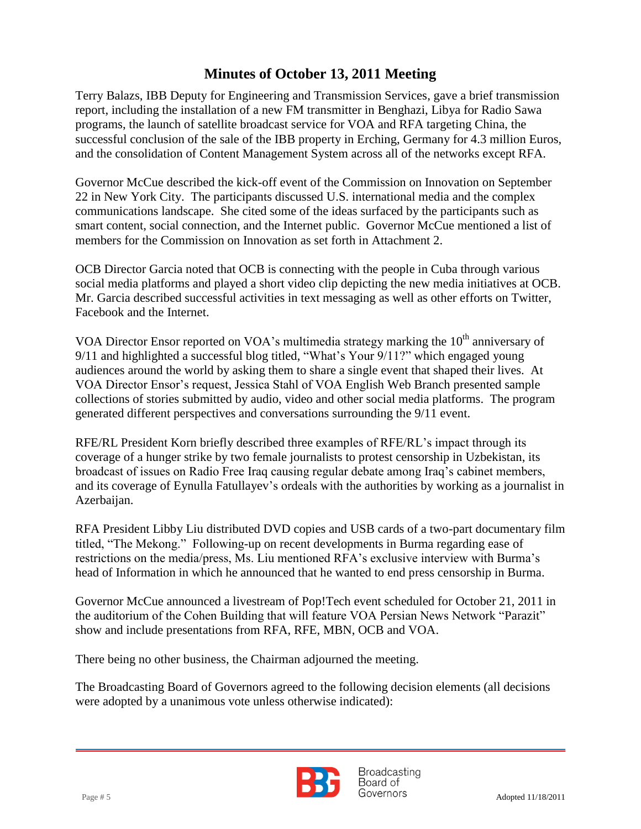and the consolidation of Content Management System across all of the networks except RFA. Terry Balazs, IBB Deputy for Engineering and Transmission Services, gave a brief transmission report, including the installation of a new FM transmitter in Benghazi, Libya for Radio Sawa programs, the launch of satellite broadcast service for VOA and RFA targeting China, the successful conclusion of the sale of the IBB property in Erching, Germany for 4.3 million Euros,

Governor McCue described the kick-off event of the Commission on Innovation on September 22 in New York City. The participants discussed U.S. international media and the complex communications landscape. She cited some of the ideas surfaced by the participants such as smart content, social connection, and the Internet public. Governor McCue mentioned a list of members for the Commission on Innovation as set forth in Attachment 2.

OCB Director Garcia noted that OCB is connecting with the people in Cuba through various social media platforms and played a short video clip depicting the new media initiatives at OCB. Mr. Garcia described successful activities in text messaging as well as other efforts on Twitter, Facebook and the Internet.

VOA Director Ensor reported on VOA's multimedia strategy marking the  $10<sup>th</sup>$  anniversary of 9/11 and highlighted a successful blog titled, "What's Your 9/11?" which engaged young audiences around the world by asking them to share a single event that shaped their lives. At VOA Director Ensor's request, Jessica Stahl of VOA English Web Branch presented sample collections of stories submitted by audio, video and other social media platforms. The program generated different perspectives and conversations surrounding the 9/11 event.

RFE/RL President Korn briefly described three examples of RFE/RL's impact through its coverage of a hunger strike by two female journalists to protest censorship in Uzbekistan, its broadcast of issues on Radio Free Iraq causing regular debate among Iraq's cabinet members, and its coverage of Eynulla Fatullayev's ordeals with the authorities by working as a journalist in Azerbaijan.

RFA President Libby Liu distributed DVD copies and USB cards of a two-part documentary film titled, "The Mekong." Following-up on recent developments in Burma regarding ease of restrictions on the media/press, Ms. Liu mentioned RFA's exclusive interview with Burma's head of Information in which he announced that he wanted to end press censorship in Burma.

Governor McCue announced a livestream of Pop!Tech event scheduled for October 21, 2011 in the auditorium of the Cohen Building that will feature VOA Persian News Network "Parazit" show and include presentations from RFA, RFE, MBN, OCB and VOA.

There being no other business, the Chairman adjourned the meeting.

The Broadcasting Board of Governors agreed to the following decision elements (all decisions were adopted by a unanimous vote unless otherwise indicated):



**Broadcasting** Board of Page # 5 Adopted 11/18/2011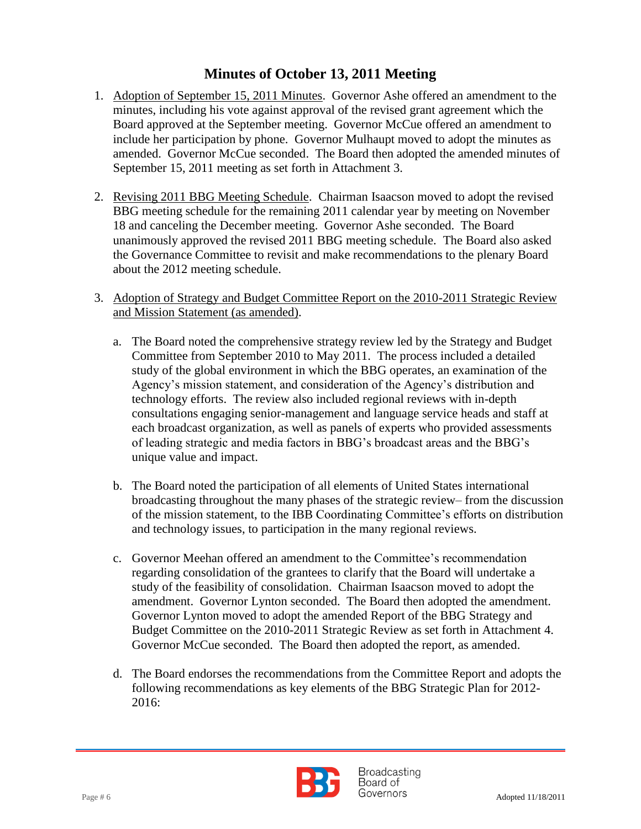- 1. Adoption of September 15, 2011 Minutes. Governor Ashe offered an amendment to the minutes, including his vote against approval of the revised grant agreement which the Board approved at the September meeting. Governor McCue offered an amendment to include her participation by phone. Governor Mulhaupt moved to adopt the minutes as amended. Governor McCue seconded. The Board then adopted the amended minutes of September 15, 2011 meeting as set forth in Attachment 3.
- 2. Revising 2011 BBG Meeting Schedule. Chairman Isaacson moved to adopt the revised BBG meeting schedule for the remaining 2011 calendar year by meeting on November 18 and canceling the December meeting. Governor Ashe seconded. The Board unanimously approved the revised 2011 BBG meeting schedule. The Board also asked the Governance Committee to revisit and make recommendations to the plenary Board about the 2012 meeting schedule.
- 3. Adoption of Strategy and Budget Committee Report on the 2010-2011 Strategic Review and Mission Statement (as amended).
	- a. The Board noted the comprehensive strategy review led by the Strategy and Budget Committee from September 2010 to May 2011. The process included a detailed study of the global environment in which the BBG operates, an examination of the Agency's mission statement, and consideration of the Agency's distribution and technology efforts. The review also included regional reviews with in-depth consultations engaging senior-management and language service heads and staff at each broadcast organization, as well as panels of experts who provided assessments of leading strategic and media factors in BBG's broadcast areas and the BBG's unique value and impact.
	- b. The Board noted the participation of all elements of United States international broadcasting throughout the many phases of the strategic review– from the discussion of the mission statement, to the IBB Coordinating Committee's efforts on distribution and technology issues, to participation in the many regional reviews.
	- c. Governor Meehan offered an amendment to the Committee's recommendation regarding consolidation of the grantees to clarify that the Board will undertake a study of the feasibility of consolidation. Chairman Isaacson moved to adopt the amendment. Governor Lynton seconded. The Board then adopted the amendment. Governor Lynton moved to adopt the amended Report of the BBG Strategy and Budget Committee on the 2010-2011 Strategic Review as set forth in Attachment 4. Governor McCue seconded. The Board then adopted the report, as amended.
	- d. The Board endorses the recommendations from the Committee Report and adopts the following recommendations as key elements of the BBG Strategic Plan for 2012- 2016:

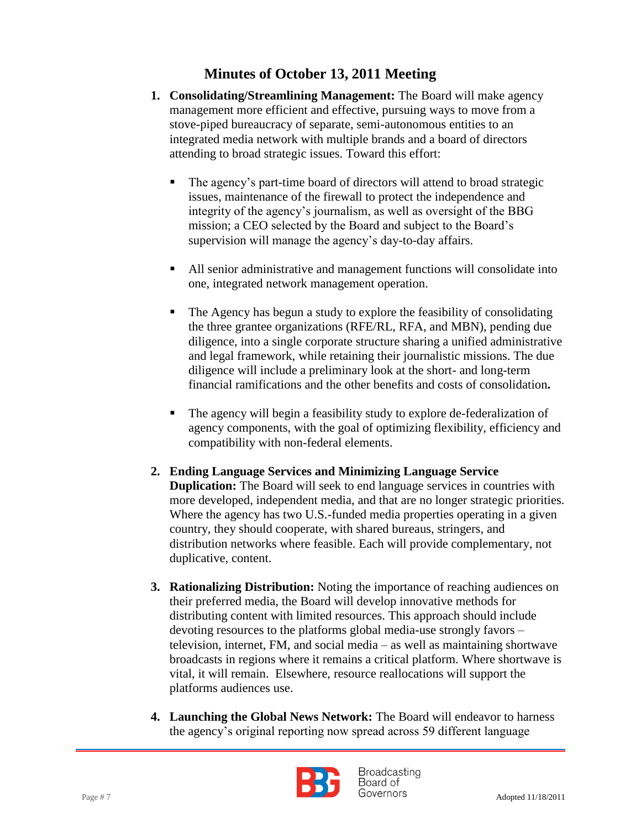- **1. Consolidating/Streamlining Management:** The Board will make agency management more efficient and effective, pursuing ways to move from a stove-piped bureaucracy of separate, semi-autonomous entities to an integrated media network with multiple brands and a board of directors attending to broad strategic issues. Toward this effort:
	- The agency's part-time board of directors will attend to broad strategic issues, maintenance of the firewall to protect the independence and integrity of the agency's journalism, as well as oversight of the BBG mission; a CEO selected by the Board and subject to the Board's supervision will manage the agency's day-to-day affairs.
	- All senior administrative and management functions will consolidate into one, integrated network management operation.
	- The Agency has begun a study to explore the feasibility of consolidating the three grantee organizations (RFE/RL, RFA, and MBN), pending due diligence, into a single corporate structure sharing a unified administrative and legal framework, while retaining their journalistic missions. The due diligence will include a preliminary look at the short- and long-term financial ramifications and the other benefits and costs of consolidation**.**
	- The agency will begin a feasibility study to explore de-federalization of agency components, with the goal of optimizing flexibility, efficiency and compatibility with non-federal elements.
- **2. Ending Language Services and Minimizing Language Service Duplication:** The Board will seek to end language services in countries with more developed, independent media, and that are no longer strategic priorities. Where the agency has two U.S.-funded media properties operating in a given country, they should cooperate, with shared bureaus, stringers, and distribution networks where feasible. Each will provide complementary, not duplicative, content.
- **3. Rationalizing Distribution:** Noting the importance of reaching audiences on their preferred media, the Board will develop innovative methods for distributing content with limited resources. This approach should include devoting resources to the platforms global media-use strongly favors – television, internet, FM, and social media – as well as maintaining shortwave broadcasts in regions where it remains a critical platform. Where shortwave is vital, it will remain. Elsewhere, resource reallocations will support the platforms audiences use.
- **4. Launching the Global News Network:** The Board will endeavor to harness the agency's original reporting now spread across 59 different language



**Broadcasting** Board of Page # 7 Adopted 11/18/2011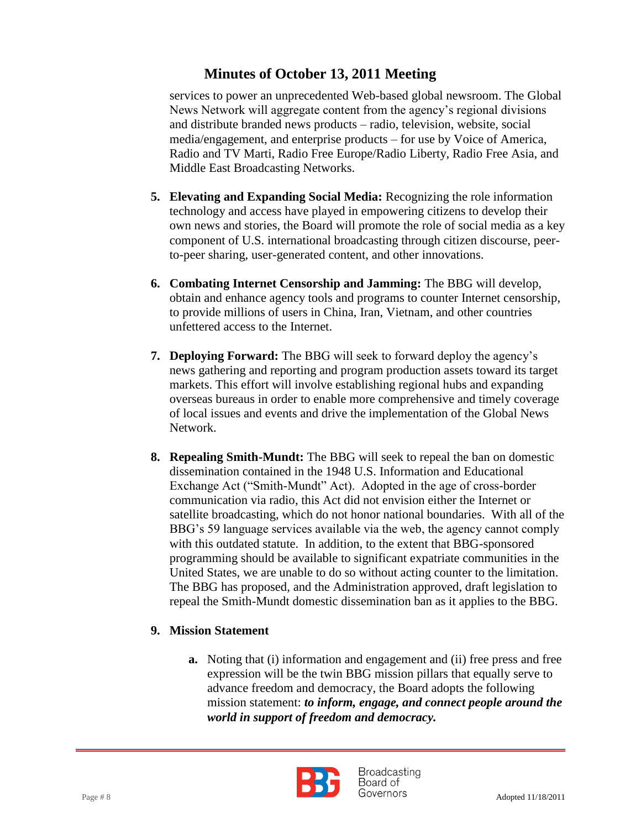services to power an unprecedented Web-based global newsroom. The Global News Network will aggregate content from the agency's regional divisions and distribute branded news products – radio, television, website, social media/engagement, and enterprise products – for use by Voice of America, Radio and TV Marti, Radio Free Europe/Radio Liberty, Radio Free Asia, and Middle East Broadcasting Networks.

- **5. Elevating and Expanding Social Media:** Recognizing the role information technology and access have played in empowering citizens to develop their own news and stories, the Board will promote the role of social media as a key component of U.S. international broadcasting through citizen discourse, peerto-peer sharing, user-generated content, and other innovations.
- **6. Combating Internet Censorship and Jamming:** The BBG will develop, obtain and enhance agency tools and programs to counter Internet censorship, to provide millions of users in China, Iran, Vietnam, and other countries unfettered access to the Internet.
- **7. Deploying Forward:** The BBG will seek to forward deploy the agency's news gathering and reporting and program production assets toward its target markets. This effort will involve establishing regional hubs and expanding overseas bureaus in order to enable more comprehensive and timely coverage of local issues and events and drive the implementation of the Global News Network.
- **8. Repealing Smith-Mundt:** The BBG will seek to repeal the ban on domestic dissemination contained in the 1948 U.S. Information and Educational Exchange Act ("Smith-Mundt" Act). Adopted in the age of cross-border communication via radio, this Act did not envision either the Internet or satellite broadcasting, which do not honor national boundaries. With all of the BBG's 59 language services available via the web, the agency cannot comply with this outdated statute. In addition, to the extent that BBG-sponsored programming should be available to significant expatriate communities in the United States, we are unable to do so without acting counter to the limitation. The BBG has proposed, and the Administration approved, draft legislation to repeal the Smith-Mundt domestic dissemination ban as it applies to the BBG.

### **9. Mission Statement**

**a.** Noting that (i) information and engagement and (ii) free press and free expression will be the twin BBG mission pillars that equally serve to advance freedom and democracy, the Board adopts the following mission statement: *to inform, engage, and connect people around the world in support of freedom and democracy.*

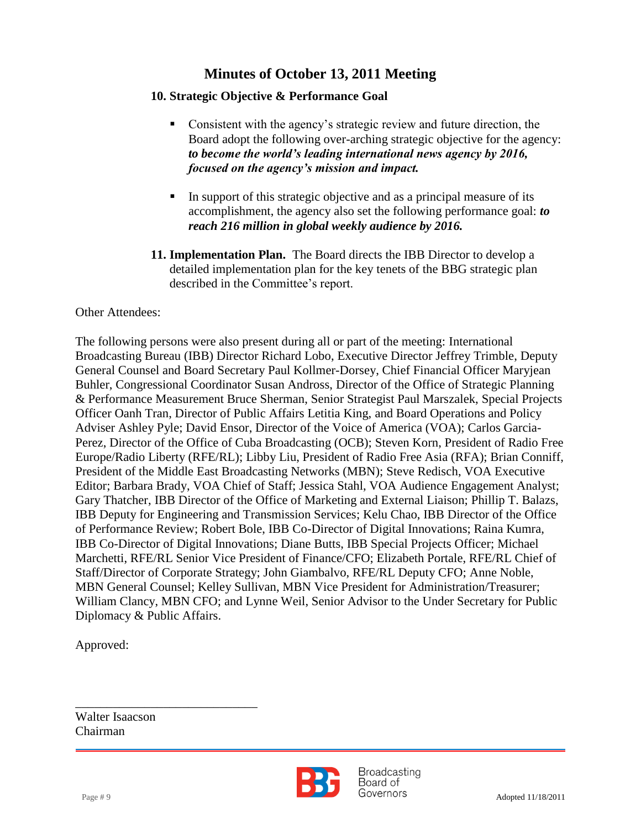#### **10. Strategic Objective & Performance Goal**

- Consistent with the agency's strategic review and future direction, the Board adopt the following over-arching strategic objective for the agency: *to become the world's leading international news agency by 2016, focused on the agency's mission and impact.*
- In support of this strategic objective and as a principal measure of its accomplishment, the agency also set the following performance goal: *to reach 216 million in global weekly audience by 2016.*
- **11. Implementation Plan.** The Board directs the IBB Director to develop a detailed implementation plan for the key tenets of the BBG strategic plan described in the Committee's report.

#### Other Attendees:

The following persons were also present during all or part of the meeting: International Broadcasting Bureau (IBB) Director Richard Lobo, Executive Director Jeffrey Trimble, Deputy General Counsel and Board Secretary Paul Kollmer-Dorsey, Chief Financial Officer Maryjean Buhler, Congressional Coordinator Susan Andross, Director of the Office of Strategic Planning & Performance Measurement Bruce Sherman, Senior Strategist Paul Marszalek, Special Projects Officer Oanh Tran, Director of Public Affairs Letitia King, and Board Operations and Policy Adviser Ashley Pyle; David Ensor, Director of the Voice of America (VOA); Carlos Garcia-Perez, Director of the Office of Cuba Broadcasting (OCB); Steven Korn, President of Radio Free Europe/Radio Liberty (RFE/RL); Libby Liu, President of Radio Free Asia (RFA); Brian Conniff, President of the Middle East Broadcasting Networks (MBN); Steve Redisch, VOA Executive Editor; Barbara Brady, VOA Chief of Staff; Jessica Stahl, VOA Audience Engagement Analyst; Gary Thatcher, IBB Director of the Office of Marketing and External Liaison; Phillip T. Balazs, IBB Deputy for Engineering and Transmission Services; Kelu Chao, IBB Director of the Office of Performance Review; Robert Bole, IBB Co-Director of Digital Innovations; Raina Kumra, IBB Co-Director of Digital Innovations; Diane Butts, IBB Special Projects Officer; Michael Marchetti, RFE/RL Senior Vice President of Finance/CFO; Elizabeth Portale, RFE/RL Chief of Staff/Director of Corporate Strategy; John Giambalvo, RFE/RL Deputy CFO; Anne Noble, MBN General Counsel; Kelley Sullivan, MBN Vice President for Administration/Treasurer; William Clancy, MBN CFO; and Lynne Weil, Senior Advisor to the Under Secretary for Public Diplomacy & Public Affairs.

Approved:

Walter Isaacson Chairman

\_\_\_\_\_\_\_\_\_\_\_\_\_\_\_\_\_\_\_\_\_\_\_\_\_\_\_\_\_



**Broadcasting** Board of  $Page # 9$  Adopted 11/18/2011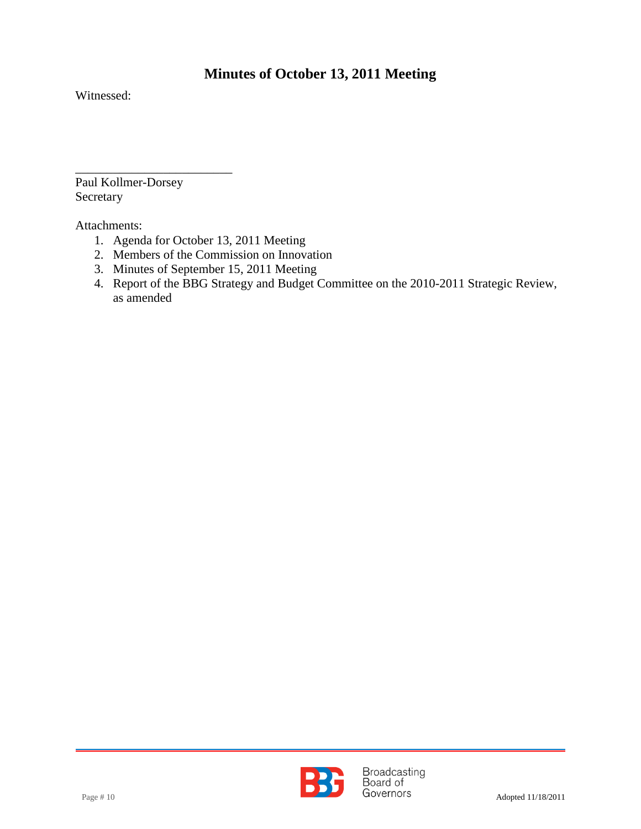Witnessed:

Paul Kollmer-Dorsey Secretary

\_\_\_\_\_\_\_\_\_\_\_\_\_\_\_\_\_\_\_\_\_\_\_\_\_

Attachments:

- 1. Agenda for October 13, 2011 Meeting
- 2. Members of the Commission on Innovation
- 3. Minutes of September 15, 2011 Meeting
- 4. Report of the BBG Strategy and Budget Committee on the 2010-2011 Strategic Review, as amended

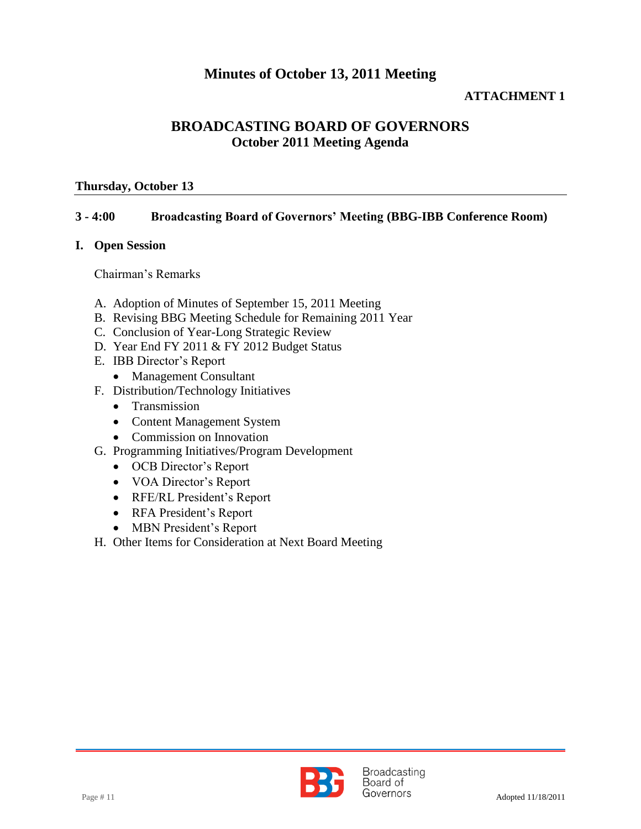#### **ATTACHMENT 1**

### **BROADCASTING BOARD OF GOVERNORS October 2011 Meeting Agenda**

#### **Thursday, October 13**

#### **3 - 4:00 Broadcasting Board of Governors' Meeting (BBG-IBB Conference Room)**

#### **I. Open Session**

Chairman's Remarks

- A. Adoption of Minutes of September 15, 2011 Meeting
- B. Revising BBG Meeting Schedule for Remaining 2011 Year
- C. Conclusion of Year-Long Strategic Review
- D. Year End FY 2011 & FY 2012 Budget Status
- E. IBB Director's Report
	- Management Consultant
- F. Distribution/Technology Initiatives
	- Transmission
	- Content Management System
	- Commission on Innovation
- G. Programming Initiatives/Program Development
	- OCB Director's Report
	- VOA Director's Report
	- RFE/RL President's Report
	- RFA President's Report
	- MBN President's Report
- H. Other Items for Consideration at Next Board Meeting

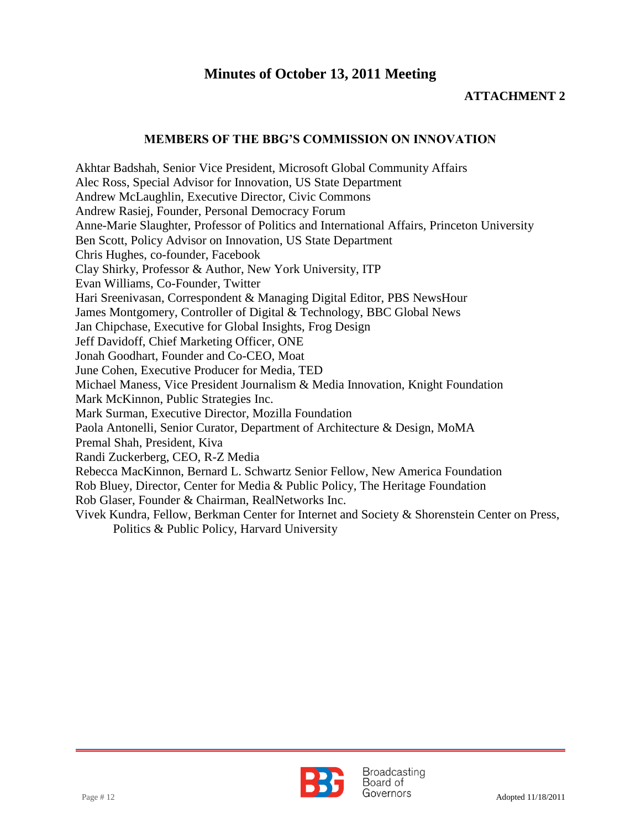#### **ATTACHMENT 2**

#### **MEMBERS OF THE BBG'S COMMISSION ON INNOVATION**

Akhtar Badshah, Senior Vice President, Microsoft Global Community Affairs Alec Ross, Special Advisor for Innovation, US State Department Andrew McLaughlin, Executive Director, Civic Commons Andrew Rasiej, Founder, Personal Democracy Forum Anne-Marie Slaughter, Professor of Politics and International Affairs, Princeton University Ben Scott, Policy Advisor on Innovation, US State Department Chris Hughes, co-founder, Facebook Clay Shirky, Professor & Author, New York University, ITP Evan Williams, Co-Founder, Twitter Hari Sreenivasan, Correspondent & Managing Digital Editor, PBS NewsHour James Montgomery, Controller of Digital & Technology, BBC Global News Jan Chipchase, Executive for Global Insights, Frog Design Jeff Davidoff, Chief Marketing Officer, ONE Jonah Goodhart, Founder and Co-CEO, Moat June Cohen, Executive Producer for Media, TED Michael Maness, Vice President Journalism & Media Innovation, Knight Foundation Mark McKinnon, Public Strategies Inc. Mark Surman, Executive Director, Mozilla Foundation Paola Antonelli, Senior Curator, Department of Architecture & Design, MoMA Premal Shah, President, Kiva Randi Zuckerberg, CEO, R-Z Media Rebecca MacKinnon, Bernard L. Schwartz Senior Fellow, New America Foundation Rob Bluey, Director, Center for Media & Public Policy, The Heritage Foundation Rob Glaser, Founder & Chairman, RealNetworks Inc. Vivek Kundra, Fellow, Berkman Center for Internet and Society & Shorenstein Center on Press, Politics & Public Policy, Harvard University

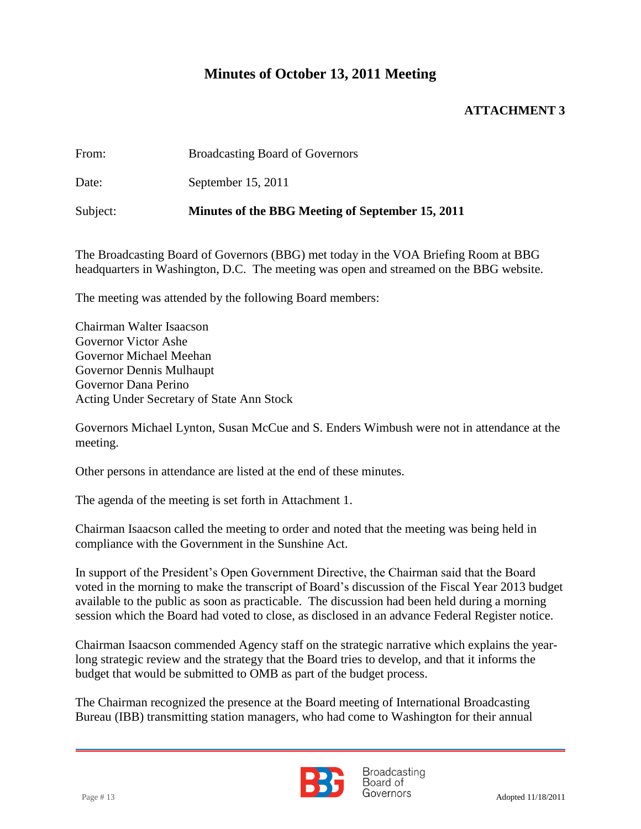#### **ATTACHMENT 3**

From: Broadcasting Board of Governors

Date: September 15, 2011

Subject: **Minutes of the BBG Meeting of September 15, 2011**

The Broadcasting Board of Governors (BBG) met today in the VOA Briefing Room at BBG headquarters in Washington, D.C. The meeting was open and streamed on the BBG website.

The meeting was attended by the following Board members:

Chairman Walter Isaacson Governor Victor Ashe Governor Michael Meehan Governor Dennis Mulhaupt Governor Dana Perino Acting Under Secretary of State Ann Stock

Governors Michael Lynton, Susan McCue and S. Enders Wimbush were not in attendance at the meeting.

Other persons in attendance are listed at the end of these minutes.

The agenda of the meeting is set forth in Attachment 1.

Chairman Isaacson called the meeting to order and noted that the meeting was being held in compliance with the Government in the Sunshine Act.

In support of the President's Open Government Directive, the Chairman said that the Board voted in the morning to make the transcript of Board's discussion of the Fiscal Year 2013 budget available to the public as soon as practicable. The discussion had been held during a morning session which the Board had voted to close, as disclosed in an advance Federal Register notice.

Chairman Isaacson commended Agency staff on the strategic narrative which explains the yearlong strategic review and the strategy that the Board tries to develop, and that it informs the budget that would be submitted to OMB as part of the budget process.

The Chairman recognized the presence at the Board meeting of International Broadcasting Bureau (IBB) transmitting station managers, who had come to Washington for their annual



**Broadcasting** Board of Page # 13 Adopted 11/18/2011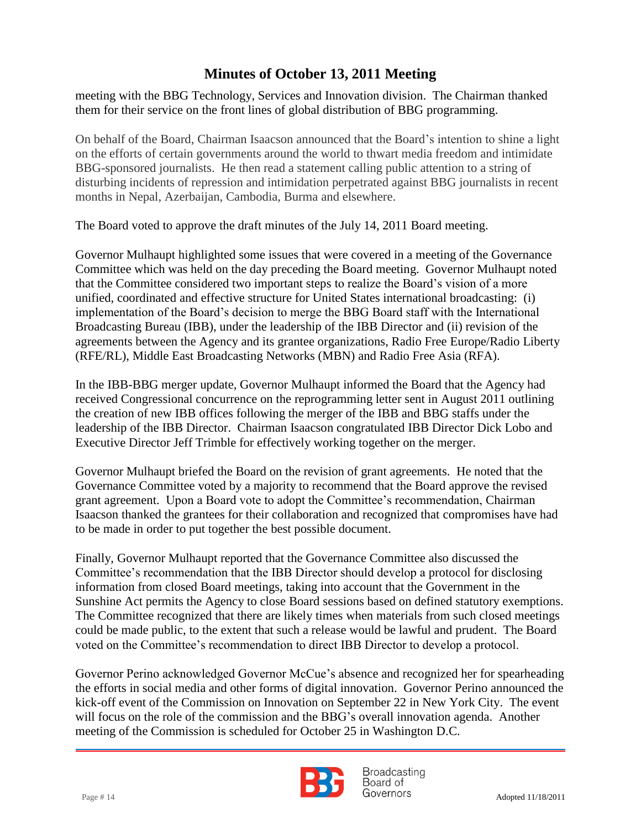meeting with the BBG Technology, Services and Innovation division. The Chairman thanked them for their service on the front lines of global distribution of BBG programming.

 on the efforts of certain governments around the world to thwart media freedom and intimidate On behalf of the Board, Chairman Isaacson announced that the Board's intention to shine a light BBG-sponsored journalists. He then read a statement calling public attention to a string of disturbing incidents of repression and intimidation perpetrated against BBG journalists in recent months in Nepal, Azerbaijan, Cambodia, Burma and elsewhere.

The Board voted to approve the draft minutes of the July 14, 2011 Board meeting.

Governor Mulhaupt highlighted some issues that were covered in a meeting of the Governance Committee which was held on the day preceding the Board meeting. Governor Mulhaupt noted that the Committee considered two important steps to realize the Board's vision of a more unified, coordinated and effective structure for United States international broadcasting: (i) implementation of the Board's decision to merge the BBG Board staff with the International Broadcasting Bureau (IBB), under the leadership of the IBB Director and (ii) revision of the agreements between the Agency and its grantee organizations, Radio Free Europe/Radio Liberty (RFE/RL), Middle East Broadcasting Networks (MBN) and Radio Free Asia (RFA).

In the IBB-BBG merger update, Governor Mulhaupt informed the Board that the Agency had received Congressional concurrence on the reprogramming letter sent in August 2011 outlining the creation of new IBB offices following the merger of the IBB and BBG staffs under the leadership of the IBB Director. Chairman Isaacson congratulated IBB Director Dick Lobo and Executive Director Jeff Trimble for effectively working together on the merger.

Governor Mulhaupt briefed the Board on the revision of grant agreements. He noted that the Governance Committee voted by a majority to recommend that the Board approve the revised grant agreement. Upon a Board vote to adopt the Committee's recommendation, Chairman Isaacson thanked the grantees for their collaboration and recognized that compromises have had to be made in order to put together the best possible document.

Finally, Governor Mulhaupt reported that the Governance Committee also discussed the Committee's recommendation that the IBB Director should develop a protocol for disclosing information from closed Board meetings, taking into account that the Government in the Sunshine Act permits the Agency to close Board sessions based on defined statutory exemptions. The Committee recognized that there are likely times when materials from such closed meetings could be made public, to the extent that such a release would be lawful and prudent. The Board voted on the Committee's recommendation to direct IBB Director to develop a protocol.

Governor Perino acknowledged Governor McCue's absence and recognized her for spearheading the efforts in social media and other forms of digital innovation. Governor Perino announced the kick-off event of the Commission on Innovation on September 22 in New York City. The event will focus on the role of the commission and the BBG's overall innovation agenda. Another meeting of the Commission is scheduled for October 25 in Washington D.C.



**Broadcasting** Board of Page # 14 Adopted 11/18/2011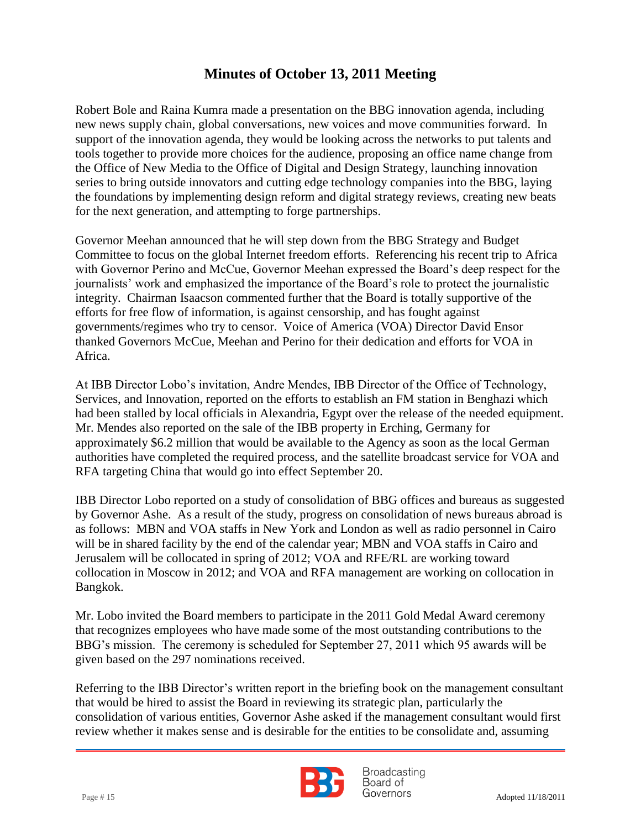tools together to provide more choices for the audience, proposing an office name change from Robert Bole and Raina Kumra made a presentation on the BBG innovation agenda, including new news supply chain, global conversations, new voices and move communities forward. In support of the innovation agenda, they would be looking across the networks to put talents and the Office of New Media to the Office of Digital and Design Strategy, launching innovation series to bring outside innovators and cutting edge technology companies into the BBG, laying the foundations by implementing design reform and digital strategy reviews, creating new beats for the next generation, and attempting to forge partnerships.

Governor Meehan announced that he will step down from the BBG Strategy and Budget Committee to focus on the global Internet freedom efforts. Referencing his recent trip to Africa with Governor Perino and McCue, Governor Meehan expressed the Board's deep respect for the journalists' work and emphasized the importance of the Board's role to protect the journalistic integrity. Chairman Isaacson commented further that the Board is totally supportive of the efforts for free flow of information, is against censorship, and has fought against governments/regimes who try to censor. Voice of America (VOA) Director David Ensor thanked Governors McCue, Meehan and Perino for their dedication and efforts for VOA in Africa.

At IBB Director Lobo's invitation, Andre Mendes, IBB Director of the Office of Technology, Services, and Innovation, reported on the efforts to establish an FM station in Benghazi which had been stalled by local officials in Alexandria, Egypt over the release of the needed equipment. Mr. Mendes also reported on the sale of the IBB property in Erching, Germany for approximately \$6.2 million that would be available to the Agency as soon as the local German authorities have completed the required process, and the satellite broadcast service for VOA and RFA targeting China that would go into effect September 20.

IBB Director Lobo reported on a study of consolidation of BBG offices and bureaus as suggested by Governor Ashe. As a result of the study, progress on consolidation of news bureaus abroad is as follows: MBN and VOA staffs in New York and London as well as radio personnel in Cairo will be in shared facility by the end of the calendar year; MBN and VOA staffs in Cairo and Jerusalem will be collocated in spring of 2012; VOA and RFE/RL are working toward collocation in Moscow in 2012; and VOA and RFA management are working on collocation in Bangkok.

Mr. Lobo invited the Board members to participate in the 2011 Gold Medal Award ceremony that recognizes employees who have made some of the most outstanding contributions to the BBG's mission. The ceremony is scheduled for September 27, 2011 which 95 awards will be given based on the 297 nominations received.

Referring to the IBB Director's written report in the briefing book on the management consultant that would be hired to assist the Board in reviewing its strategic plan, particularly the consolidation of various entities, Governor Ashe asked if the management consultant would first review whether it makes sense and is desirable for the entities to be consolidate and, assuming



**Broadcasting** Board of Page # 15 Adopted 11/18/2011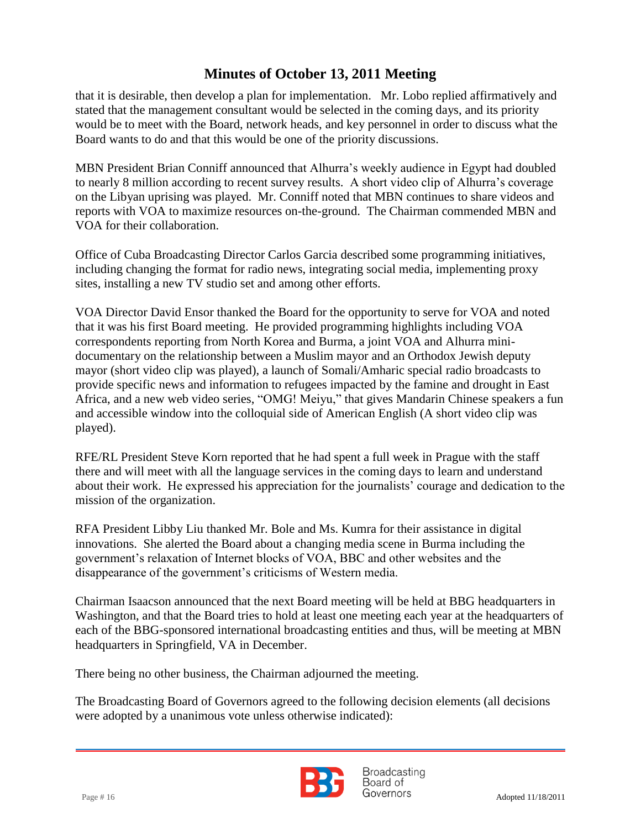that it is desirable, then develop a plan for implementation. Mr. Lobo replied affirmatively and stated that the management consultant would be selected in the coming days, and its priority would be to meet with the Board, network heads, and key personnel in order to discuss what the Board wants to do and that this would be one of the priority discussions.

MBN President Brian Conniff announced that Alhurra's weekly audience in Egypt had doubled to nearly 8 million according to recent survey results. A short video clip of Alhurra's coverage on the Libyan uprising was played. Mr. Conniff noted that MBN continues to share videos and reports with VOA to maximize resources on-the-ground. The Chairman commended MBN and VOA for their collaboration.

Office of Cuba Broadcasting Director Carlos Garcia described some programming initiatives, including changing the format for radio news, integrating social media, implementing proxy sites, installing a new TV studio set and among other efforts.

VOA Director David Ensor thanked the Board for the opportunity to serve for VOA and noted that it was his first Board meeting. He provided programming highlights including VOA correspondents reporting from North Korea and Burma, a joint VOA and Alhurra minidocumentary on the relationship between a Muslim mayor and an Orthodox Jewish deputy mayor (short video clip was played), a launch of Somali/Amharic special radio broadcasts to provide specific news and information to refugees impacted by the famine and drought in East Africa, and a new web video series, "OMG! Meiyu," that gives Mandarin Chinese speakers a fun and accessible window into the colloquial side of American English (A short video clip was played).

RFE/RL President Steve Korn reported that he had spent a full week in Prague with the staff there and will meet with all the language services in the coming days to learn and understand about their work. He expressed his appreciation for the journalists' courage and dedication to the mission of the organization.

RFA President Libby Liu thanked Mr. Bole and Ms. Kumra for their assistance in digital innovations. She alerted the Board about a changing media scene in Burma including the government's relaxation of Internet blocks of VOA, BBC and other websites and the disappearance of the government's criticisms of Western media.

Chairman Isaacson announced that the next Board meeting will be held at BBG headquarters in Washington, and that the Board tries to hold at least one meeting each year at the headquarters of each of the BBG-sponsored international broadcasting entities and thus, will be meeting at MBN headquarters in Springfield, VA in December.

There being no other business, the Chairman adjourned the meeting.

The Broadcasting Board of Governors agreed to the following decision elements (all decisions were adopted by a unanimous vote unless otherwise indicated):



**Broadcasting** Board of Page # 16 Adopted 11/18/2011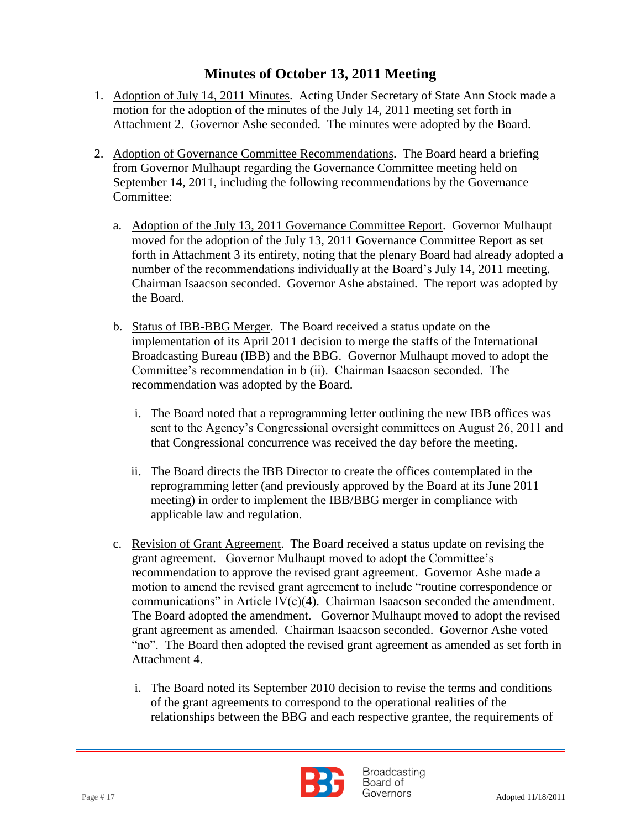- 1. Adoption of July 14, 2011 Minutes. Acting Under Secretary of State Ann Stock made a motion for the adoption of the minutes of the July 14, 2011 meeting set forth in Attachment 2. Governor Ashe seconded. The minutes were adopted by the Board.
- 2. Adoption of Governance Committee Recommendations. The Board heard a briefing from Governor Mulhaupt regarding the Governance Committee meeting held on September 14, 2011, including the following recommendations by the Governance Committee:
	- a. Adoption of the July 13, 2011 Governance Committee Report. Governor Mulhaupt moved for the adoption of the July 13, 2011 Governance Committee Report as set forth in Attachment 3 its entirety, noting that the plenary Board had already adopted a number of the recommendations individually at the Board's July 14, 2011 meeting. Chairman Isaacson seconded. Governor Ashe abstained. The report was adopted by the Board.
	- b. Status of IBB-BBG Merger. The Board received a status update on the implementation of its April 2011 decision to merge the staffs of the International Broadcasting Bureau (IBB) and the BBG. Governor Mulhaupt moved to adopt the Committee's recommendation in b (ii). Chairman Isaacson seconded. The recommendation was adopted by the Board.
		- i. The Board noted that a reprogramming letter outlining the new IBB offices was sent to the Agency's Congressional oversight committees on August 26, 2011 and that Congressional concurrence was received the day before the meeting.
		- ii. The Board directs the IBB Director to create the offices contemplated in the reprogramming letter (and previously approved by the Board at its June 2011 meeting) in order to implement the IBB/BBG merger in compliance with applicable law and regulation.
	- c. Revision of Grant Agreement. The Board received a status update on revising the grant agreement. Governor Mulhaupt moved to adopt the Committee's recommendation to approve the revised grant agreement. Governor Ashe made a motion to amend the revised grant agreement to include "routine correspondence or communications" in Article IV(c)(4). Chairman Isaacson seconded the amendment. The Board adopted the amendment. Governor Mulhaupt moved to adopt the revised grant agreement as amended. Chairman Isaacson seconded. Governor Ashe voted "no". The Board then adopted the revised grant agreement as amended as set forth in Attachment 4.
		- i. The Board noted its September 2010 decision to revise the terms and conditions of the grant agreements to correspond to the operational realities of the relationships between the BBG and each respective grantee, the requirements of



**Broadcasting** Board of Page # 17 Adopted 11/18/2011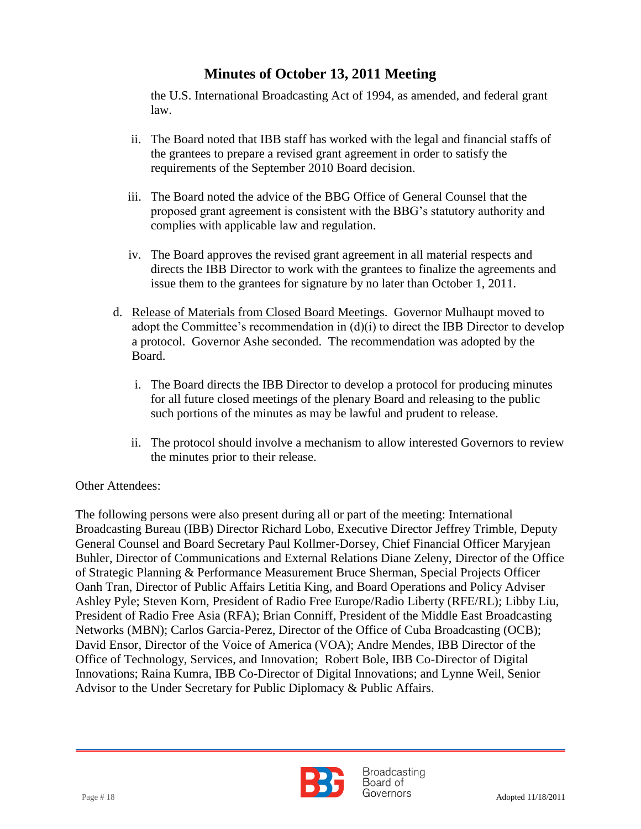the U.S. International Broadcasting Act of 1994, as amended, and federal grant law.

- ii. The Board noted that IBB staff has worked with the legal and financial staffs of the grantees to prepare a revised grant agreement in order to satisfy the requirements of the September 2010 Board decision.
- iii. The Board noted the advice of the BBG Office of General Counsel that the proposed grant agreement is consistent with the BBG's statutory authority and complies with applicable law and regulation.
- iv. The Board approves the revised grant agreement in all material respects and directs the IBB Director to work with the grantees to finalize the agreements and issue them to the grantees for signature by no later than October 1, 2011.
- d. Release of Materials from Closed Board Meetings. Governor Mulhaupt moved to adopt the Committee's recommendation in (d)(i) to direct the IBB Director to develop a protocol. Governor Ashe seconded. The recommendation was adopted by the Board.
	- i. The Board directs the IBB Director to develop a protocol for producing minutes for all future closed meetings of the plenary Board and releasing to the public such portions of the minutes as may be lawful and prudent to release.
	- ii. The protocol should involve a mechanism to allow interested Governors to review the minutes prior to their release.

#### Other Attendees:

The following persons were also present during all or part of the meeting: International Broadcasting Bureau (IBB) Director Richard Lobo, Executive Director Jeffrey Trimble, Deputy General Counsel and Board Secretary Paul Kollmer-Dorsey, Chief Financial Officer Maryjean Buhler, Director of Communications and External Relations Diane Zeleny, Director of the Office of Strategic Planning & Performance Measurement Bruce Sherman, Special Projects Officer Oanh Tran, Director of Public Affairs Letitia King, and Board Operations and Policy Adviser Ashley Pyle; Steven Korn, President of Radio Free Europe/Radio Liberty (RFE/RL); Libby Liu, President of Radio Free Asia (RFA); Brian Conniff, President of the Middle East Broadcasting Networks (MBN); Carlos Garcia-Perez, Director of the Office of Cuba Broadcasting (OCB); David Ensor, Director of the Voice of America (VOA); Andre Mendes, IBB Director of the Office of Technology, Services, and Innovation; Robert Bole, IBB Co-Director of Digital Innovations; Raina Kumra, IBB Co-Director of Digital Innovations; and Lynne Weil, Senior Advisor to the Under Secretary for Public Diplomacy & Public Affairs.



**Broadcasting** Board of Page # 18 Adopted 11/18/2011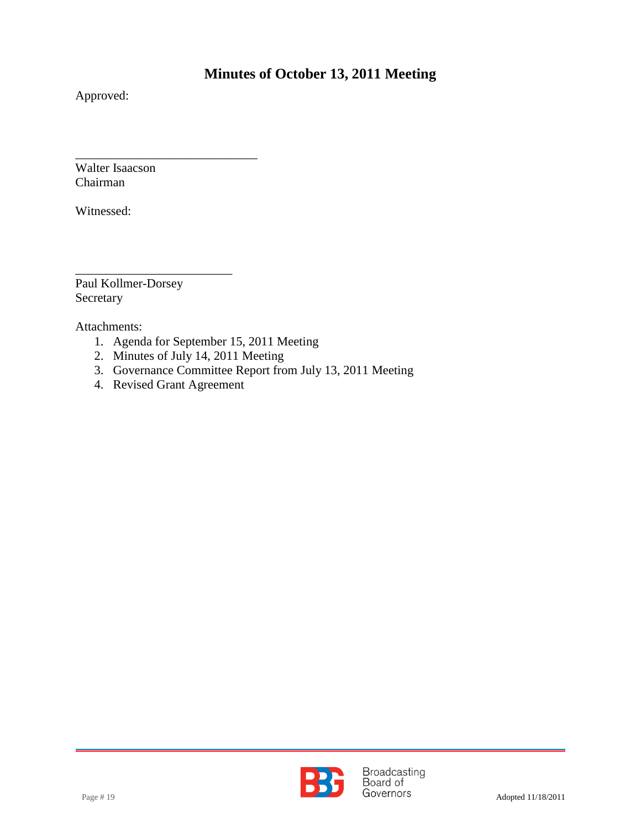Approved:

 $\overline{a}$ Walter Isaacson Chairman

Witnessed:

\_\_\_\_\_\_\_\_\_\_\_\_\_\_\_\_\_\_\_\_\_\_\_\_\_ Paul Kollmer-Dorsey Secretary

Attachments:

- 1. Agenda for September 15, 2011 Meeting
- 2. Minutes of July 14, 2011 Meeting
- 3. Governance Committee Report from July 13, 2011 Meeting
- 4. Revised Grant Agreement

\_\_\_\_\_\_\_\_\_\_\_\_\_\_\_\_\_\_\_\_\_\_\_\_\_\_\_\_\_

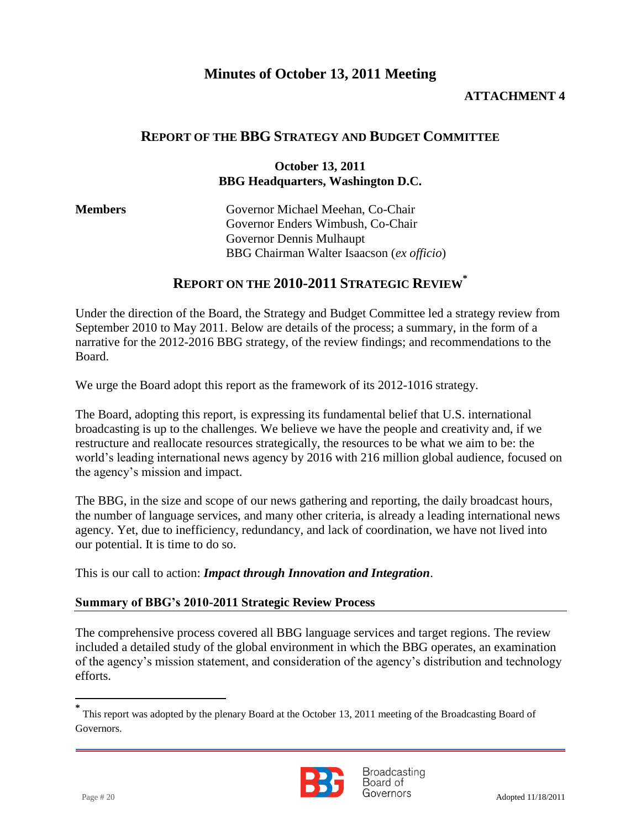#### **ATTACHMENT 4**

### **REPORT OF THE BBG STRATEGY AND BUDGET COMMITTEE**

#### **October 13, 2011 BBG Headquarters, Washington D.C.**

| <b>Members</b> | Governor Michael Meehan, Co-Chair         |
|----------------|-------------------------------------------|
|                | Governor Enders Wimbush, Co-Chair         |
|                | Governor Dennis Mulhaupt                  |
|                | BBG Chairman Walter Isaacson (ex officio) |
|                |                                           |

### **REPORT ON THE 2010-2011 STRATEGIC REVIEW\***

Under the direction of the Board, the Strategy and Budget Committee led a strategy review from September 2010 to May 2011. Below are details of the process; a summary, in the form of a narrative for the 2012-2016 BBG strategy, of the review findings; and recommendations to the Board.

We urge the Board adopt this report as the framework of its 2012-1016 strategy.

The Board, adopting this report, is expressing its fundamental belief that U.S. international broadcasting is up to the challenges. We believe we have the people and creativity and, if we restructure and reallocate resources strategically, the resources to be what we aim to be: the world's leading international news agency by 2016 with 216 million global audience, focused on the agency's mission and impact.

The BBG, in the size and scope of our news gathering and reporting, the daily broadcast hours, the number of language services, and many other criteria, is already a leading international news agency. Yet, due to inefficiency, redundancy, and lack of coordination, we have not lived into our potential. It is time to do so.

This is our call to action: *Impact through Innovation and Integration*.

#### **Summary of BBG's 2010-2011 Strategic Review Process**

The comprehensive process covered all BBG language services and target regions. The review included a detailed study of the global environment in which the BBG operates, an examination of the agency's mission statement, and consideration of the agency's distribution and technology efforts.

**<sup>\*</sup>** This report was adopted by the plenary Board at the October 13, 2011 meeting of the Broadcasting Board of Governors.



**Broadcasting** Board of Page # 20 Adopted 11/18/2011

l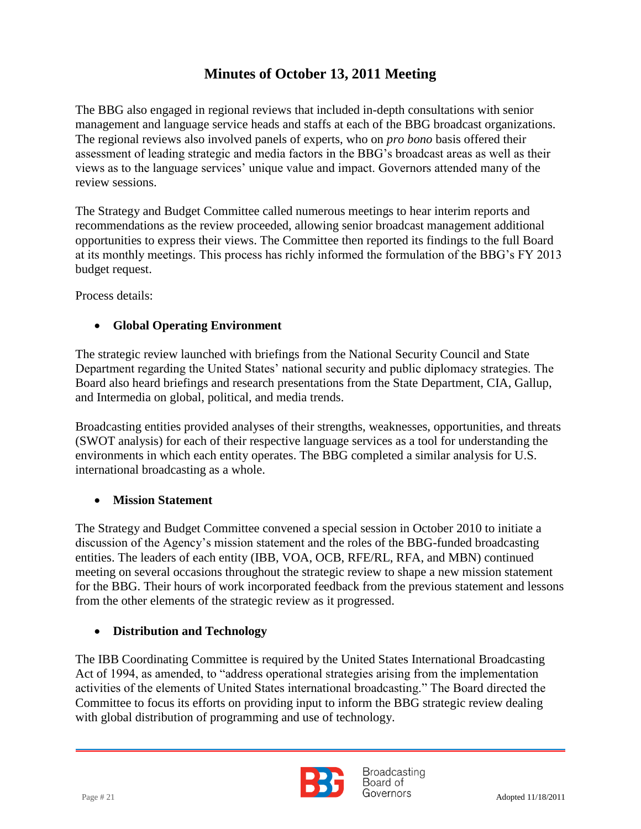assessment of leading strategic and media factors in the BBG's broadcast areas as well as their The BBG also engaged in regional reviews that included in-depth consultations with senior management and language service heads and staffs at each of the BBG broadcast organizations. The regional reviews also involved panels of experts, who on *pro bono* basis offered their views as to the language services' unique value and impact. Governors attended many of the review sessions.

The Strategy and Budget Committee called numerous meetings to hear interim reports and recommendations as the review proceeded, allowing senior broadcast management additional opportunities to express their views. The Committee then reported its findings to the full Board at its monthly meetings. This process has richly informed the formulation of the BBG's FY 2013 budget request.

Process details:

### **Global Operating Environment**

The strategic review launched with briefings from the National Security Council and State Department regarding the United States' national security and public diplomacy strategies. The Board also heard briefings and research presentations from the State Department, CIA, Gallup, and Intermedia on global, political, and media trends.

Broadcasting entities provided analyses of their strengths, weaknesses, opportunities, and threats (SWOT analysis) for each of their respective language services as a tool for understanding the environments in which each entity operates. The BBG completed a similar analysis for U.S. international broadcasting as a whole.

### **Mission Statement**

The Strategy and Budget Committee convened a special session in October 2010 to initiate a discussion of the Agency's mission statement and the roles of the BBG-funded broadcasting entities. The leaders of each entity (IBB, VOA, OCB, RFE/RL, RFA, and MBN) continued meeting on several occasions throughout the strategic review to shape a new mission statement for the BBG. Their hours of work incorporated feedback from the previous statement and lessons from the other elements of the strategic review as it progressed.

### **Distribution and Technology**

The IBB Coordinating Committee is required by the United States International Broadcasting Act of 1994, as amended, to "address operational strategies arising from the implementation activities of the elements of United States international broadcasting." The Board directed the Committee to focus its efforts on providing input to inform the BBG strategic review dealing with global distribution of programming and use of technology.



**Broadcasting** Board of  $Page #21$   $Adopted 11/18/2011$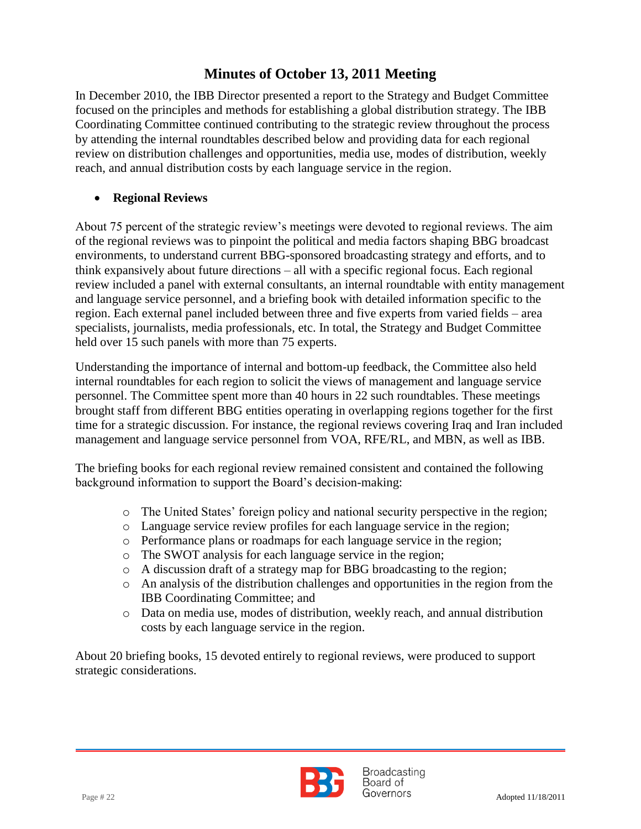review on distribution challenges and opportunities, media use, modes of distribution, weekly In December 2010, the IBB Director presented a report to the Strategy and Budget Committee focused on the principles and methods for establishing a global distribution strategy. The IBB Coordinating Committee continued contributing to the strategic review throughout the process by attending the internal roundtables described below and providing data for each regional reach, and annual distribution costs by each language service in the region.

#### **Regional Reviews**

About 75 percent of the strategic review's meetings were devoted to regional reviews. The aim of the regional reviews was to pinpoint the political and media factors shaping BBG broadcast environments, to understand current BBG-sponsored broadcasting strategy and efforts, and to think expansively about future directions – all with a specific regional focus. Each regional review included a panel with external consultants, an internal roundtable with entity management and language service personnel, and a briefing book with detailed information specific to the region. Each external panel included between three and five experts from varied fields – area specialists, journalists, media professionals, etc. In total, the Strategy and Budget Committee held over 15 such panels with more than 75 experts.

Understanding the importance of internal and bottom-up feedback, the Committee also held internal roundtables for each region to solicit the views of management and language service personnel. The Committee spent more than 40 hours in 22 such roundtables. These meetings brought staff from different BBG entities operating in overlapping regions together for the first time for a strategic discussion. For instance, the regional reviews covering Iraq and Iran included management and language service personnel from VOA, RFE/RL, and MBN, as well as IBB.

The briefing books for each regional review remained consistent and contained the following background information to support the Board's decision-making:

- o The United States' foreign policy and national security perspective in the region;
- o Language service review profiles for each language service in the region;
- o Performance plans or roadmaps for each language service in the region;
- o The SWOT analysis for each language service in the region;
- o A discussion draft of a strategy map for BBG broadcasting to the region;
- o An analysis of the distribution challenges and opportunities in the region from the IBB Coordinating Committee; and
- o Data on media use, modes of distribution, weekly reach, and annual distribution costs by each language service in the region.

About 20 briefing books, 15 devoted entirely to regional reviews, were produced to support strategic considerations.

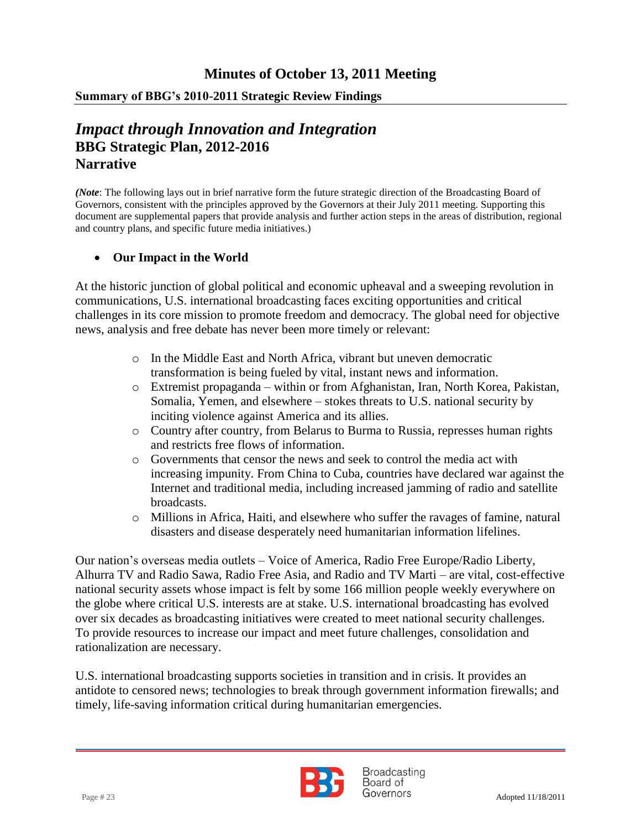#### **Summary of BBG's 2010-2011 Strategic Review Findings**

### **Narrative** *Impact through Innovation and Integration* **BBG Strategic Plan, 2012-2016**

*(Note*: The following lays out in brief narrative form the future strategic direction of the Broadcasting Board of Governors, consistent with the principles approved by the Governors at their July 2011 meeting. Supporting this document are supplemental papers that provide analysis and further action steps in the areas of distribution, regional and country plans, and specific future media initiatives.)

#### **Our Impact in the World**

At the historic junction of global political and economic upheaval and a sweeping revolution in communications, U.S. international broadcasting faces exciting opportunities and critical challenges in its core mission to promote freedom and democracy. The global need for objective news, analysis and free debate has never been more timely or relevant:

- o In the Middle East and North Africa, vibrant but uneven democratic transformation is being fueled by vital, instant news and information.
- o Extremist propaganda within or from Afghanistan, Iran, North Korea, Pakistan, Somalia, Yemen, and elsewhere – stokes threats to U.S. national security by inciting violence against America and its allies.
- o Country after country, from Belarus to Burma to Russia, represses human rights and restricts free flows of information.
- o Governments that censor the news and seek to control the media act with increasing impunity. From China to Cuba, countries have declared war against the Internet and traditional media, including increased jamming of radio and satellite broadcasts.
- o Millions in Africa, Haiti, and elsewhere who suffer the ravages of famine, natural disasters and disease desperately need humanitarian information lifelines.

Our nation's overseas media outlets – Voice of America, Radio Free Europe/Radio Liberty, Alhurra TV and Radio Sawa, Radio Free Asia, and Radio and TV Marti – are vital, cost-effective national security assets whose impact is felt by some 166 million people weekly everywhere on the globe where critical U.S. interests are at stake. U.S. international broadcasting has evolved over six decades as broadcasting initiatives were created to meet national security challenges. To provide resources to increase our impact and meet future challenges, consolidation and rationalization are necessary.

U.S. international broadcasting supports societies in transition and in crisis. It provides an antidote to censored news; technologies to break through government information firewalls; and timely, life-saving information critical during humanitarian emergencies.



**Broadcasting** Board of Page # 23 Adopted 11/18/2011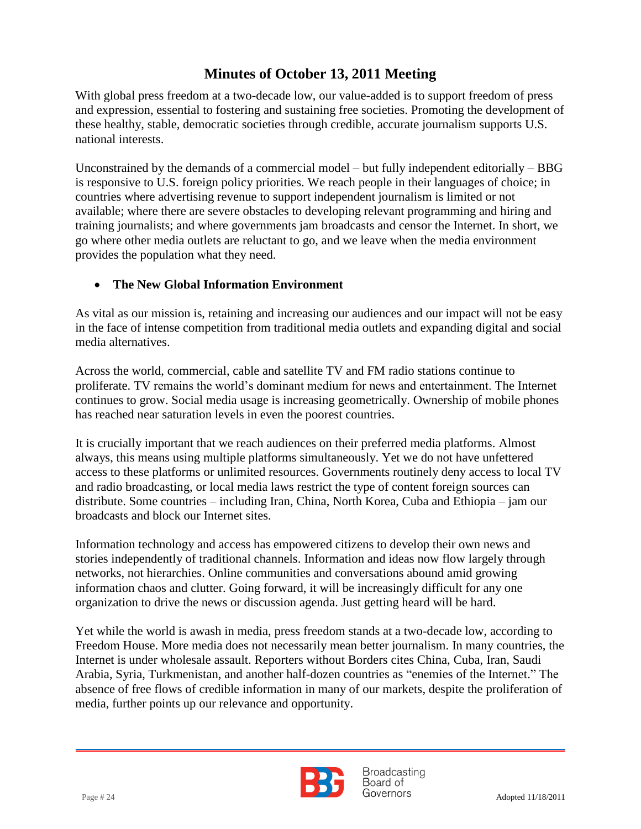With global press freedom at a two-decade low, our value-added is to support freedom of press and expression, essential to fostering and sustaining free societies. Promoting the development of these healthy, stable, democratic societies through credible, accurate journalism supports U.S. national interests.

Unconstrained by the demands of a commercial model – but fully independent editorially –  $BBG$ is responsive to U.S. foreign policy priorities. We reach people in their languages of choice; in countries where advertising revenue to support independent journalism is limited or not available; where there are severe obstacles to developing relevant programming and hiring and training journalists; and where governments jam broadcasts and censor the Internet. In short, we go where other media outlets are reluctant to go, and we leave when the media environment provides the population what they need.

### **The New Global Information Environment**

As vital as our mission is, retaining and increasing our audiences and our impact will not be easy in the face of intense competition from traditional media outlets and expanding digital and social media alternatives.

Across the world, commercial, cable and satellite TV and FM radio stations continue to proliferate. TV remains the world's dominant medium for news and entertainment. The Internet continues to grow. Social media usage is increasing geometrically. Ownership of mobile phones has reached near saturation levels in even the poorest countries.

It is crucially important that we reach audiences on their preferred media platforms. Almost always, this means using multiple platforms simultaneously. Yet we do not have unfettered access to these platforms or unlimited resources. Governments routinely deny access to local TV and radio broadcasting, or local media laws restrict the type of content foreign sources can distribute. Some countries – including Iran, China, North Korea, Cuba and Ethiopia – jam our broadcasts and block our Internet sites.

Information technology and access has empowered citizens to develop their own news and stories independently of traditional channels. Information and ideas now flow largely through networks, not hierarchies. Online communities and conversations abound amid growing information chaos and clutter. Going forward, it will be increasingly difficult for any one organization to drive the news or discussion agenda. Just getting heard will be hard.

Yet while the world is awash in media, press freedom stands at a two-decade low, according to Freedom House. More media does not necessarily mean better journalism. In many countries, the Internet is under wholesale assault. Reporters without Borders cites China, Cuba, Iran, Saudi Arabia, Syria, Turkmenistan, and another half-dozen countries as "enemies of the Internet." The absence of free flows of credible information in many of our markets, despite the proliferation of media, further points up our relevance and opportunity.



**Broadcasting** Board of Page # 24 Adopted 11/18/2011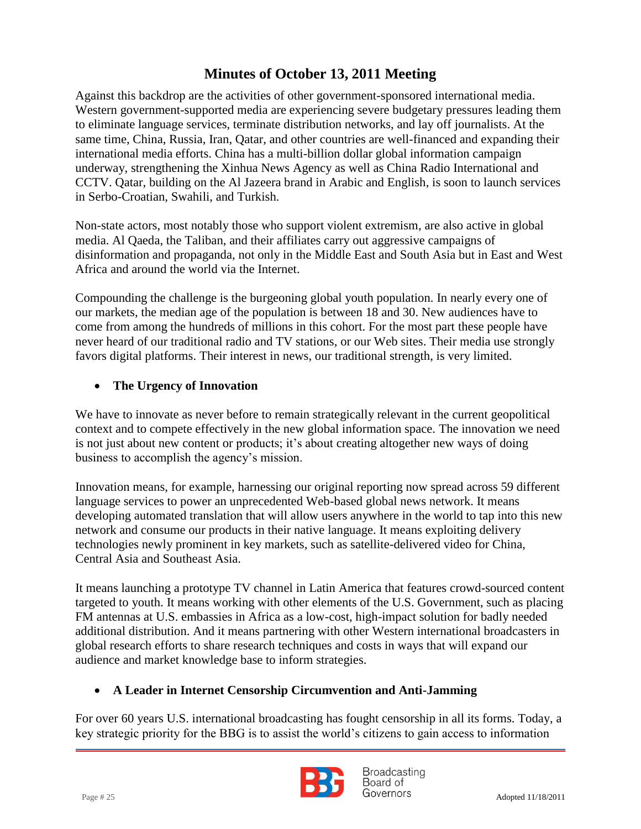international media efforts. China has a multi-billion dollar global information campaign Against this backdrop are the activities of other government-sponsored international media. Western government-supported media are experiencing severe budgetary pressures leading them to eliminate language services, terminate distribution networks, and lay off journalists. At the same time, China, Russia, Iran, Qatar, and other countries are well-financed and expanding their underway, strengthening the Xinhua News Agency as well as China Radio International and CCTV. Qatar, building on the Al Jazeera brand in Arabic and English, is soon to launch services in Serbo-Croatian, Swahili, and Turkish.

Non-state actors, most notably those who support violent extremism, are also active in global media. Al Qaeda, the Taliban, and their affiliates carry out aggressive campaigns of disinformation and propaganda, not only in the Middle East and South Asia but in East and West Africa and around the world via the Internet.

Compounding the challenge is the burgeoning global youth population. In nearly every one of our markets, the median age of the population is between 18 and 30. New audiences have to come from among the hundreds of millions in this cohort. For the most part these people have never heard of our traditional radio and TV stations, or our Web sites. Their media use strongly favors digital platforms. Their interest in news, our traditional strength, is very limited.

### **The Urgency of Innovation**

We have to innovate as never before to remain strategically relevant in the current geopolitical context and to compete effectively in the new global information space. The innovation we need is not just about new content or products; it's about creating altogether new ways of doing business to accomplish the agency's mission.

Innovation means, for example, harnessing our original reporting now spread across 59 different language services to power an unprecedented Web-based global news network. It means developing automated translation that will allow users anywhere in the world to tap into this new network and consume our products in their native language. It means exploiting delivery technologies newly prominent in key markets, such as satellite-delivered video for China, Central Asia and Southeast Asia.

It means launching a prototype TV channel in Latin America that features crowd-sourced content targeted to youth. It means working with other elements of the U.S. Government, such as placing FM antennas at U.S. embassies in Africa as a low-cost, high-impact solution for badly needed additional distribution. And it means partnering with other Western international broadcasters in global research efforts to share research techniques and costs in ways that will expand our audience and market knowledge base to inform strategies.

#### **A Leader in Internet Censorship Circumvention and Anti-Jamming**

For over 60 years U.S. international broadcasting has fought censorship in all its forms. Today, a key strategic priority for the BBG is to assist the world's citizens to gain access to information



**Broadcasting** Board of  $Page # 25$  Adopted 11/18/2011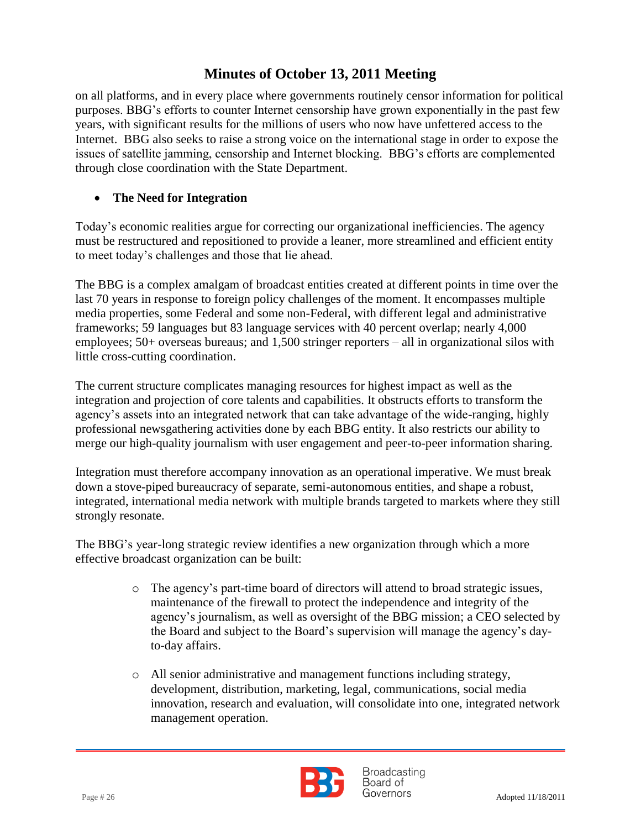issues of satellite jamming, censorship and Internet blocking. BBG's efforts are complemented on all platforms, and in every place where governments routinely censor information for political purposes. BBG's efforts to counter Internet censorship have grown exponentially in the past few years, with significant results for the millions of users who now have unfettered access to the Internet. BBG also seeks to raise a strong voice on the international stage in order to expose the through close coordination with the State Department.

### **The Need for Integration**

Today's economic realities argue for correcting our organizational inefficiencies. The agency must be restructured and repositioned to provide a leaner, more streamlined and efficient entity to meet today's challenges and those that lie ahead.

The BBG is a complex amalgam of broadcast entities created at different points in time over the last 70 years in response to foreign policy challenges of the moment. It encompasses multiple media properties, some Federal and some non-Federal, with different legal and administrative frameworks; 59 languages but 83 language services with 40 percent overlap; nearly 4,000 employees; 50+ overseas bureaus; and 1,500 stringer reporters – all in organizational silos with little cross-cutting coordination.

The current structure complicates managing resources for highest impact as well as the integration and projection of core talents and capabilities. It obstructs efforts to transform the agency's assets into an integrated network that can take advantage of the wide-ranging, highly professional newsgathering activities done by each BBG entity. It also restricts our ability to merge our high-quality journalism with user engagement and peer-to-peer information sharing.

Integration must therefore accompany innovation as an operational imperative. We must break down a stove-piped bureaucracy of separate, semi-autonomous entities, and shape a robust, integrated, international media network with multiple brands targeted to markets where they still strongly resonate.

The BBG's year-long strategic review identifies a new organization through which a more effective broadcast organization can be built:

- o The agency's part-time board of directors will attend to broad strategic issues, maintenance of the firewall to protect the independence and integrity of the agency's journalism, as well as oversight of the BBG mission; a CEO selected by the Board and subject to the Board's supervision will manage the agency's dayto-day affairs.
- o All senior administrative and management functions including strategy, development, distribution, marketing, legal, communications, social media innovation, research and evaluation, will consolidate into one, integrated network management operation.



**Broadcasting** Board of Page # 26 Adopted 11/18/2011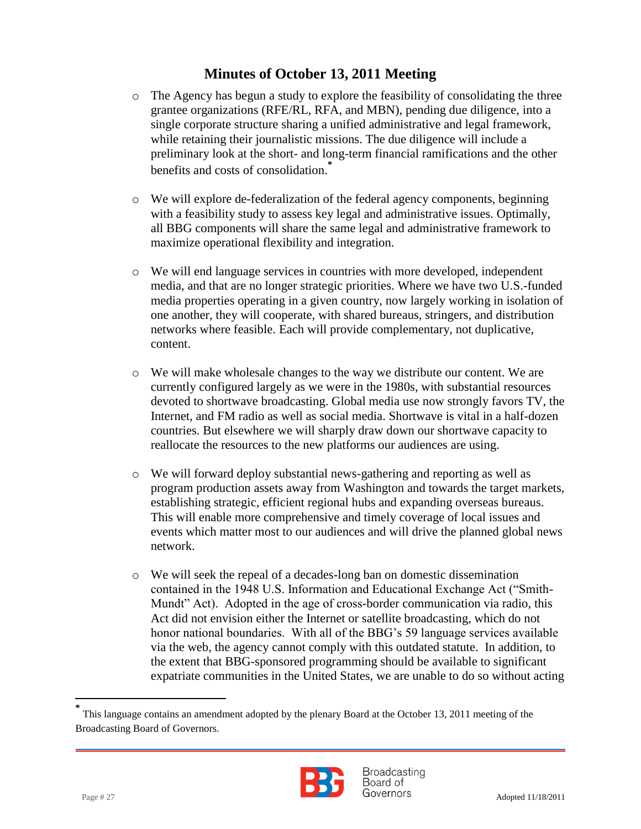- o The Agency has begun a study to explore the feasibility of consolidating the three grantee organizations (RFE/RL, RFA, and MBN), pending due diligence, into a single corporate structure sharing a unified administrative and legal framework, while retaining their journalistic missions. The due diligence will include a preliminary look at the short- and long-term financial ramifications and the other benefits and costs of consolidation. **\***
- o We will explore de-federalization of the federal agency components, beginning with a feasibility study to assess key legal and administrative issues. Optimally, all BBG components will share the same legal and administrative framework to maximize operational flexibility and integration.
- o We will end language services in countries with more developed, independent media, and that are no longer strategic priorities. Where we have two U.S.-funded media properties operating in a given country, now largely working in isolation of one another, they will cooperate, with shared bureaus, stringers, and distribution networks where feasible. Each will provide complementary, not duplicative, content.
- o We will make wholesale changes to the way we distribute our content. We are currently configured largely as we were in the 1980s, with substantial resources devoted to shortwave broadcasting. Global media use now strongly favors TV, the Internet, and FM radio as well as social media. Shortwave is vital in a half-dozen countries. But elsewhere we will sharply draw down our shortwave capacity to reallocate the resources to the new platforms our audiences are using.
- o We will forward deploy substantial news-gathering and reporting as well as program production assets away from Washington and towards the target markets, establishing strategic, efficient regional hubs and expanding overseas bureaus. This will enable more comprehensive and timely coverage of local issues and events which matter most to our audiences and will drive the planned global news network.
- o We will seek the repeal of a decades-long ban on domestic dissemination contained in the 1948 U.S. Information and Educational Exchange Act ("Smith-Mundt" Act). Adopted in the age of cross-border communication via radio, this Act did not envision either the Internet or satellite broadcasting, which do not honor national boundaries. With all of the BBG's 59 language services available via the web, the agency cannot comply with this outdated statute. In addition, to the extent that BBG-sponsored programming should be available to significant expatriate communities in the United States, we are unable to do so without acting

**<sup>\*</sup>** This language contains an amendment adopted by the plenary Board at the October 13, 2011 meeting of the Broadcasting Board of Governors.



**Broadcasting** Board of  $Page # 27$  Adopted 11/18/2011

l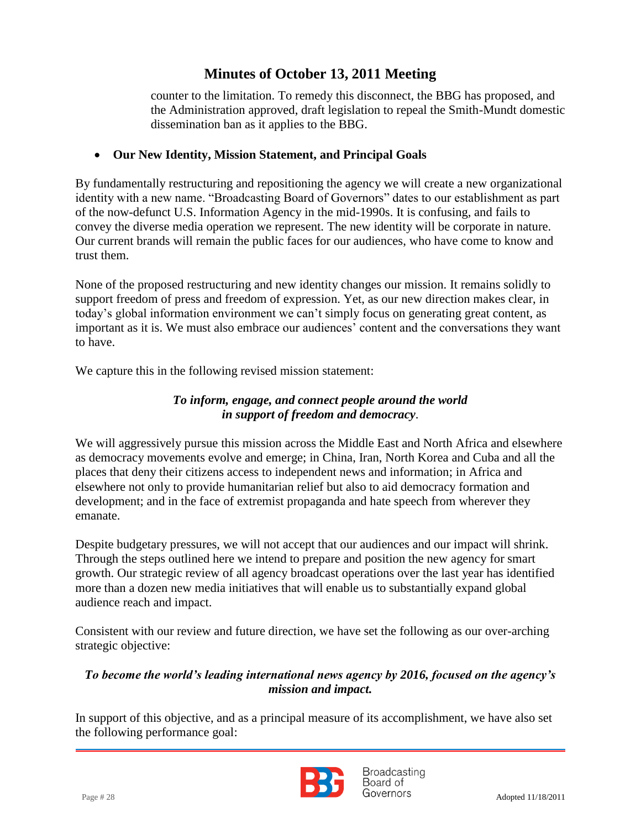counter to the limitation. To remedy this disconnect, the BBG has proposed, and the Administration approved, draft legislation to repeal the Smith-Mundt domestic dissemination ban as it applies to the BBG.

### **Our New Identity, Mission Statement, and Principal Goals**

By fundamentally restructuring and repositioning the agency we will create a new organizational identity with a new name. "Broadcasting Board of Governors" dates to our establishment as part of the now-defunct U.S. Information Agency in the mid-1990s. It is confusing, and fails to convey the diverse media operation we represent. The new identity will be corporate in nature. Our current brands will remain the public faces for our audiences, who have come to know and trust them.

None of the proposed restructuring and new identity changes our mission. It remains solidly to support freedom of press and freedom of expression. Yet, as our new direction makes clear, in today's global information environment we can't simply focus on generating great content, as important as it is. We must also embrace our audiences' content and the conversations they want to have.

We capture this in the following revised mission statement:

### *To inform, engage, and connect people around the world in support of freedom and democracy*.

We will aggressively pursue this mission across the Middle East and North Africa and elsewhere as democracy movements evolve and emerge; in China, Iran, North Korea and Cuba and all the places that deny their citizens access to independent news and information; in Africa and elsewhere not only to provide humanitarian relief but also to aid democracy formation and development; and in the face of extremist propaganda and hate speech from wherever they emanate.

Despite budgetary pressures, we will not accept that our audiences and our impact will shrink. Through the steps outlined here we intend to prepare and position the new agency for smart growth. Our strategic review of all agency broadcast operations over the last year has identified more than a dozen new media initiatives that will enable us to substantially expand global audience reach and impact.

Consistent with our review and future direction, we have set the following as our over-arching strategic objective:

### *To become the world's leading international news agency by 2016, focused on the agency's mission and impact.*

In support of this objective, and as a principal measure of its accomplishment, we have also set the following performance goal:



**Broadcasting** Board of Page # 28 Adopted 11/18/2011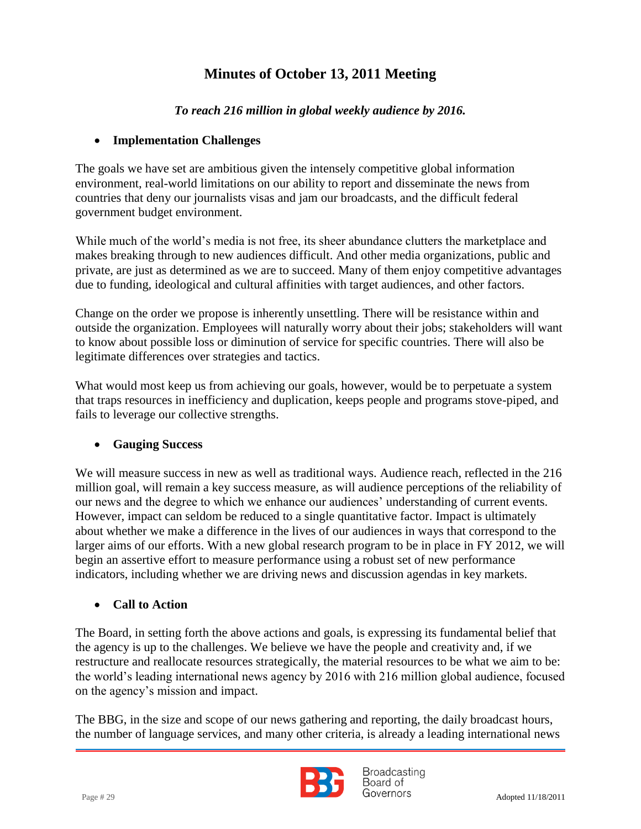### *To reach 216 million in global weekly audience by 2016.*

#### **Implementation Challenges**

The goals we have set are ambitious given the intensely competitive global information environment, real-world limitations on our ability to report and disseminate the news from countries that deny our journalists visas and jam our broadcasts, and the difficult federal government budget environment.

While much of the world's media is not free, its sheer abundance clutters the marketplace and makes breaking through to new audiences difficult. And other media organizations, public and private, are just as determined as we are to succeed. Many of them enjoy competitive advantages due to funding, ideological and cultural affinities with target audiences, and other factors.

Change on the order we propose is inherently unsettling. There will be resistance within and outside the organization. Employees will naturally worry about their jobs; stakeholders will want to know about possible loss or diminution of service for specific countries. There will also be legitimate differences over strategies and tactics.

What would most keep us from achieving our goals, however, would be to perpetuate a system that traps resources in inefficiency and duplication, keeps people and programs stove-piped, and fails to leverage our collective strengths.

### **Gauging Success**

We will measure success in new as well as traditional ways. Audience reach, reflected in the 216 million goal, will remain a key success measure, as will audience perceptions of the reliability of our news and the degree to which we enhance our audiences' understanding of current events. However, impact can seldom be reduced to a single quantitative factor. Impact is ultimately about whether we make a difference in the lives of our audiences in ways that correspond to the larger aims of our efforts. With a new global research program to be in place in FY 2012, we will begin an assertive effort to measure performance using a robust set of new performance indicators, including whether we are driving news and discussion agendas in key markets.

### **Call to Action**

The Board, in setting forth the above actions and goals, is expressing its fundamental belief that the agency is up to the challenges. We believe we have the people and creativity and, if we restructure and reallocate resources strategically, the material resources to be what we aim to be: the world's leading international news agency by 2016 with 216 million global audience, focused on the agency's mission and impact.

The BBG, in the size and scope of our news gathering and reporting, the daily broadcast hours, the number of language services, and many other criteria, is already a leading international news



**Broadcasting** Board of Page # 29 Adopted 11/18/2011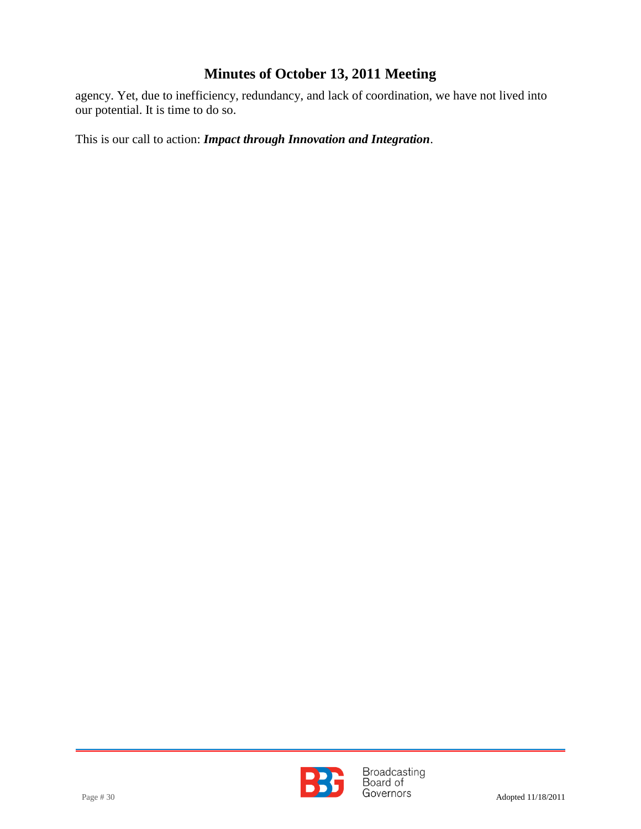agency. Yet, due to inefficiency, redundancy, and lack of coordination, we have not lived into our potential. It is time to do so.

This is our call to action: *Impact through Innovation and Integration*.



Page # 30 **Broadcasting**<br>Page # 30 **Board of** Governors Adopted 11/18/2011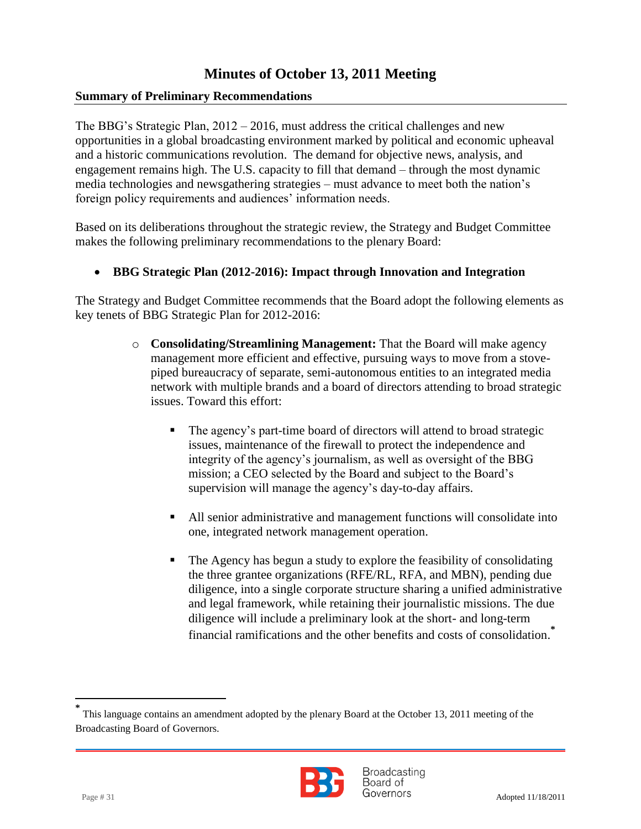#### **Summary of Preliminary Recommendations**

 and a historic communications revolution. The demand for objective news, analysis, and The BBG's Strategic Plan, 2012 – 2016, must address the critical challenges and new opportunities in a global broadcasting environment marked by political and economic upheaval engagement remains high. The U.S. capacity to fill that demand – through the most dynamic media technologies and newsgathering strategies – must advance to meet both the nation's foreign policy requirements and audiences' information needs.

Based on its deliberations throughout the strategic review, the Strategy and Budget Committee makes the following preliminary recommendations to the plenary Board:

#### **BBG Strategic Plan (2012-2016): Impact through Innovation and Integration**

The Strategy and Budget Committee recommends that the Board adopt the following elements as key tenets of BBG Strategic Plan for 2012-2016:

- o **Consolidating/Streamlining Management:** That the Board will make agency management more efficient and effective, pursuing ways to move from a stovepiped bureaucracy of separate, semi-autonomous entities to an integrated media network with multiple brands and a board of directors attending to broad strategic issues. Toward this effort:
	- The agency's part-time board of directors will attend to broad strategic issues, maintenance of the firewall to protect the independence and integrity of the agency's journalism, as well as oversight of the BBG mission; a CEO selected by the Board and subject to the Board's supervision will manage the agency's day-to-day affairs.
	- All senior administrative and management functions will consolidate into one, integrated network management operation.
	- The Agency has begun a study to explore the feasibility of consolidating the three grantee organizations (RFE/RL, RFA, and MBN), pending due diligence, into a single corporate structure sharing a unified administrative and legal framework, while retaining their journalistic missions. The due diligence will include a preliminary look at the short- and long-term financial ramifications and the other benefits and costs of consolidation. **\***

**<sup>\*</sup>** This language contains an amendment adopted by the plenary Board at the October 13, 2011 meeting of the Broadcasting Board of Governors.



**Broadcasting** Board of Page # 31 Adopted 11/18/2011

l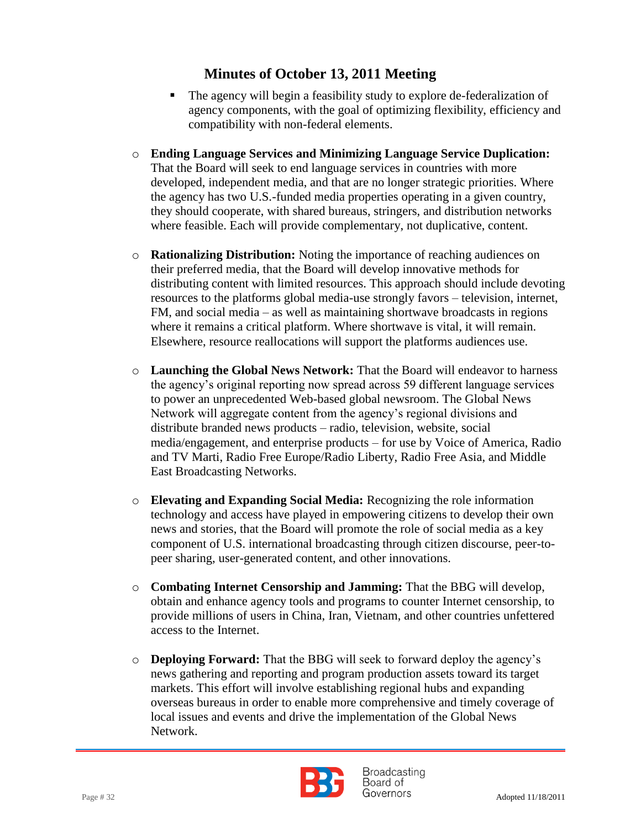- The agency will begin a feasibility study to explore de-federalization of agency components, with the goal of optimizing flexibility, efficiency and compatibility with non-federal elements.
- o **Ending Language Services and Minimizing Language Service Duplication:**  That the Board will seek to end language services in countries with more developed, independent media, and that are no longer strategic priorities. Where the agency has two U.S.-funded media properties operating in a given country, they should cooperate, with shared bureaus, stringers, and distribution networks where feasible. Each will provide complementary, not duplicative, content.
- o **Rationalizing Distribution:** Noting the importance of reaching audiences on their preferred media, that the Board will develop innovative methods for distributing content with limited resources. This approach should include devoting resources to the platforms global media-use strongly favors – television, internet, FM, and social media – as well as maintaining shortwave broadcasts in regions where it remains a critical platform. Where shortwave is vital, it will remain. Elsewhere, resource reallocations will support the platforms audiences use.
- o **Launching the Global News Network:** That the Board will endeavor to harness the agency's original reporting now spread across 59 different language services to power an unprecedented Web-based global newsroom. The Global News Network will aggregate content from the agency's regional divisions and distribute branded news products – radio, television, website, social media/engagement, and enterprise products – for use by Voice of America, Radio and TV Marti, Radio Free Europe/Radio Liberty, Radio Free Asia, and Middle East Broadcasting Networks.
- o **Elevating and Expanding Social Media:** Recognizing the role information technology and access have played in empowering citizens to develop their own news and stories, that the Board will promote the role of social media as a key component of U.S. international broadcasting through citizen discourse, peer-topeer sharing, user-generated content, and other innovations.
- o **Combating Internet Censorship and Jamming:** That the BBG will develop, obtain and enhance agency tools and programs to counter Internet censorship, to provide millions of users in China, Iran, Vietnam, and other countries unfettered access to the Internet.
- o **Deploying Forward:** That the BBG will seek to forward deploy the agency's news gathering and reporting and program production assets toward its target markets. This effort will involve establishing regional hubs and expanding overseas bureaus in order to enable more comprehensive and timely coverage of local issues and events and drive the implementation of the Global News Network.



**Broadcasting** Board of Page # 32 Adopted 11/18/2011